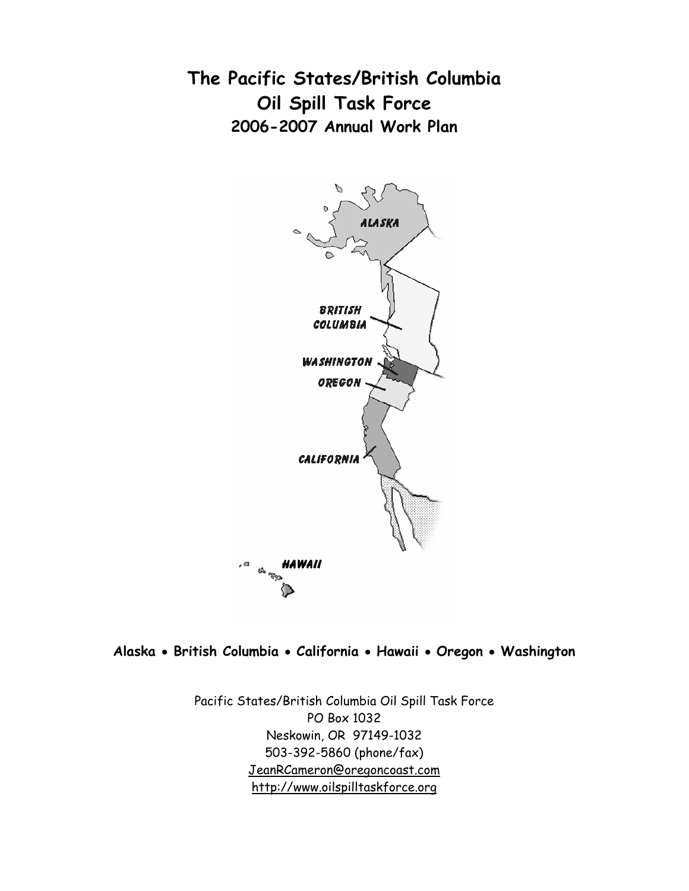**The Pacific States/British Columbia Oil Spill Task Force 2006-2007 Annual Work Plan** 



**Alaska** • **British Columbia** • **California** • **Hawaii** • **Oregon** • **Washington** 

Pacific States/British Columbia Oil Spill Task Force PO Box 1032 Neskowin, OR 97149-1032 503-392-5860 (phone/fax) JeanRCameron@oregoncoast.com http://www.oilspilltaskforce.org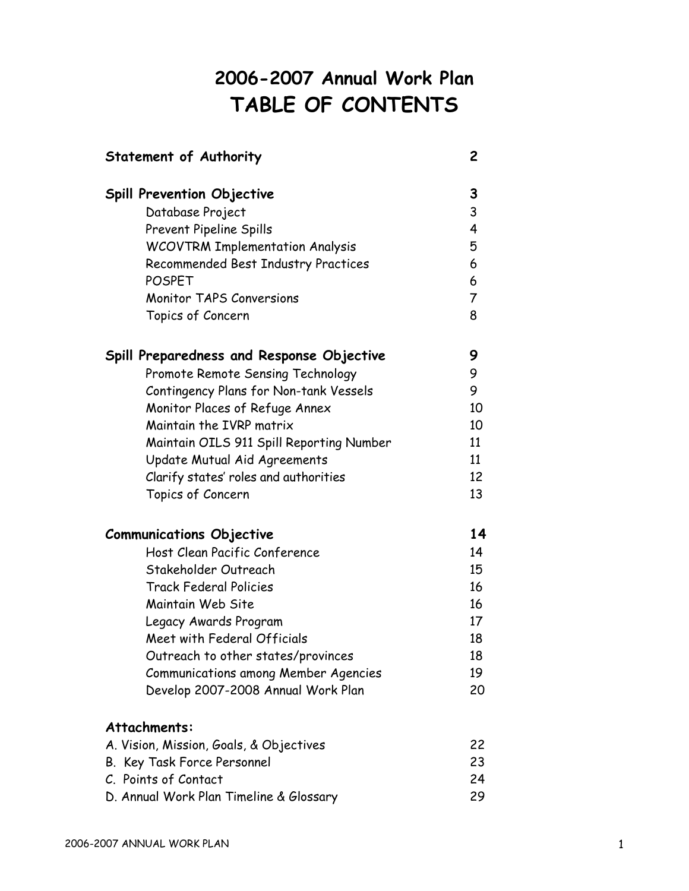# **2006-2007 Annual Work Plan TABLE OF CONTENTS**

| <b>Spill Prevention Objective</b>                                             |  |
|-------------------------------------------------------------------------------|--|
| Database Project                                                              |  |
| <b>Prevent Pipeline Spills</b>                                                |  |
| <b>WCOVTRM Implementation Analysis</b><br>Recommended Best Industry Practices |  |
| <b>POSPET</b>                                                                 |  |
| <b>Monitor TAPS Conversions</b>                                               |  |
| Topics of Concern                                                             |  |
| Spill Preparedness and Response Objective                                     |  |
| Promote Remote Sensing Technology                                             |  |
| Contingency Plans for Non-tank Vessels                                        |  |
| Monitor Places of Refuge Annex                                                |  |
| Maintain the IVRP matrix                                                      |  |
| Maintain OILS 911 Spill Reporting Number                                      |  |
| Update Mutual Aid Agreements                                                  |  |
| Clarify states' roles and authorities                                         |  |
| Topics of Concern                                                             |  |
| <b>Communications Objective</b>                                               |  |
| Host Clean Pacific Conference                                                 |  |
| Stakeholder Outreach                                                          |  |
| <b>Track Federal Policies</b>                                                 |  |
| Maintain Web Site                                                             |  |
| Legacy Awards Program                                                         |  |
| Meet with Federal Officials                                                   |  |
| Outreach to other states/provinces                                            |  |
| <b>Communications among Member Agencies</b>                                   |  |
| Develop 2007-2008 Annual Work Plan                                            |  |
| Attachments:                                                                  |  |
| A. Vision, Mission, Goals, & Objectives                                       |  |
| B. Key Task Force Personnel                                                   |  |
| C. Points of Contact                                                          |  |
| D. Annual Work Plan Timeline & Glossary                                       |  |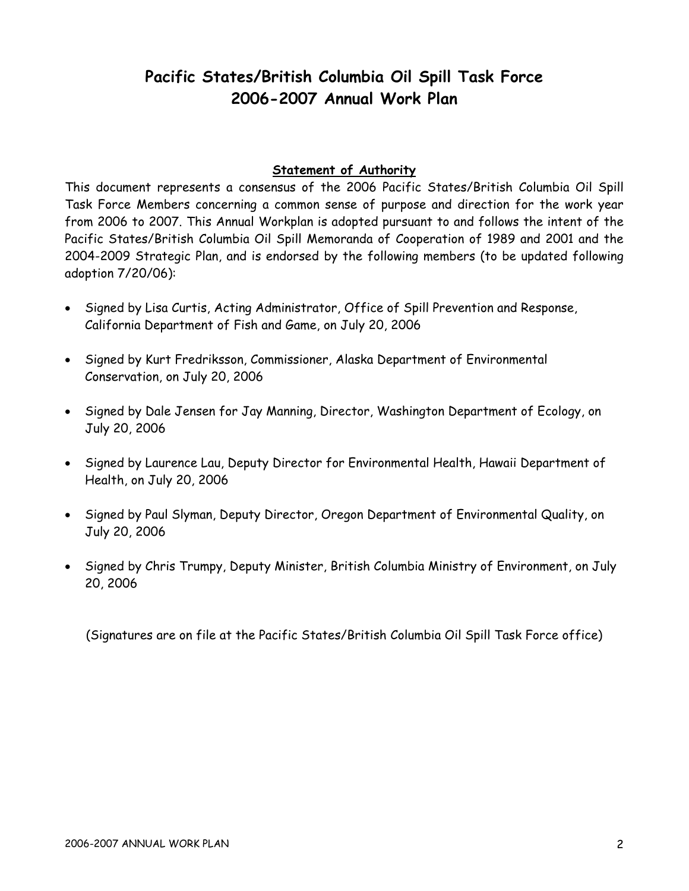# **Pacific States/British Columbia Oil Spill Task Force 2006-2007 Annual Work Plan**

# **Statement of Authority**

This document represents a consensus of the 2006 Pacific States/British Columbia Oil Spill Task Force Members concerning a common sense of purpose and direction for the work year from 2006 to 2007. This Annual Workplan is adopted pursuant to and follows the intent of the Pacific States/British Columbia Oil Spill Memoranda of Cooperation of 1989 and 2001 and the 2004-2009 Strategic Plan, and is endorsed by the following members (to be updated following adoption 7/20/06):

- Signed by Lisa Curtis, Acting Administrator, Office of Spill Prevention and Response, California Department of Fish and Game, on July 20, 2006
- Signed by Kurt Fredriksson, Commissioner, Alaska Department of Environmental Conservation, on July 20, 2006
- Signed by Dale Jensen for Jay Manning, Director, Washington Department of Ecology, on July 20, 2006
- Signed by Laurence Lau, Deputy Director for Environmental Health, Hawaii Department of Health, on July 20, 2006
- Signed by Paul Slyman, Deputy Director, Oregon Department of Environmental Quality, on July 20, 2006
- Signed by Chris Trumpy, Deputy Minister, British Columbia Ministry of Environment, on July 20, 2006

(Signatures are on file at the Pacific States/British Columbia Oil Spill Task Force office)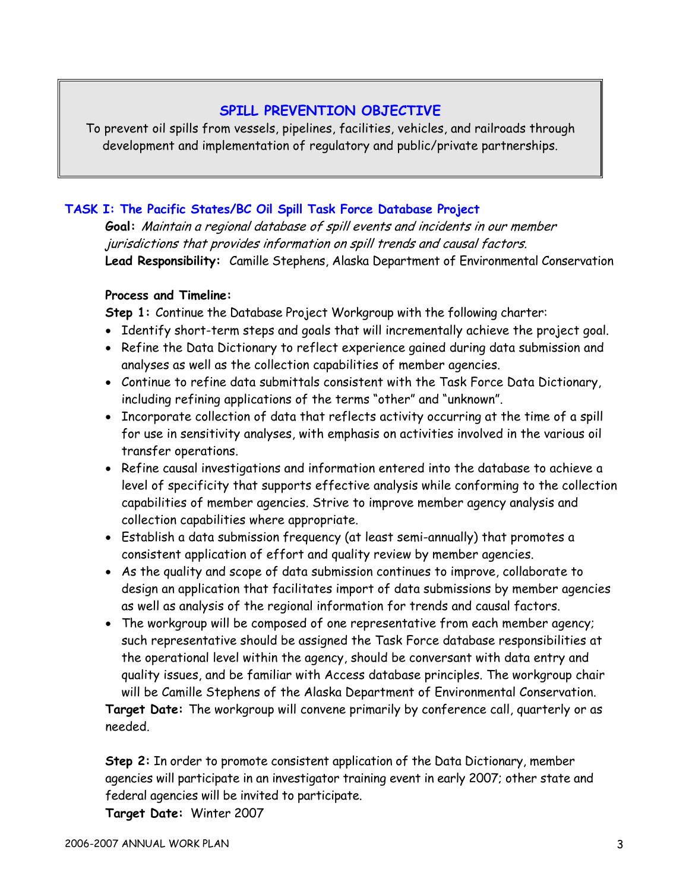# **SPILL PREVENTION OBJECTIVE**

To prevent oil spills from vessels, pipelines, facilities, vehicles, and railroads through development and implementation of regulatory and public/private partnerships.

# **TASK I: The Pacific States/BC Oil Spill Task Force Database Project**

**Goal:** Maintain a regional database of spill events and incidents in our member jurisdictions that provides information on spill trends and causal factors. **Lead Responsibility:** Camille Stephens, Alaska Department of Environmental Conservation

# **Process and Timeline:**

**Step 1:** Continue the Database Project Workgroup with the following charter:

- Identify short-term steps and goals that will incrementally achieve the project goal.
- Refine the Data Dictionary to reflect experience gained during data submission and analyses as well as the collection capabilities of member agencies.
- Continue to refine data submittals consistent with the Task Force Data Dictionary, including refining applications of the terms "other" and "unknown".
- Incorporate collection of data that reflects activity occurring at the time of a spill for use in sensitivity analyses, with emphasis on activities involved in the various oil transfer operations.
- Refine causal investigations and information entered into the database to achieve a level of specificity that supports effective analysis while conforming to the collection capabilities of member agencies. Strive to improve member agency analysis and collection capabilities where appropriate.
- Establish a data submission frequency (at least semi-annually) that promotes a consistent application of effort and quality review by member agencies.
- As the quality and scope of data submission continues to improve, collaborate to design an application that facilitates import of data submissions by member agencies as well as analysis of the regional information for trends and causal factors.
- The workgroup will be composed of one representative from each member agency; such representative should be assigned the Task Force database responsibilities at the operational level within the agency, should be conversant with data entry and quality issues, and be familiar with Access database principles. The workgroup chair will be Camille Stephens of the Alaska Department of Environmental Conservation.

**Target Date:** The workgroup will convene primarily by conference call, quarterly or as needed.

**Step 2:** In order to promote consistent application of the Data Dictionary, member agencies will participate in an investigator training event in early 2007; other state and federal agencies will be invited to participate.

**Target Date:** Winter 2007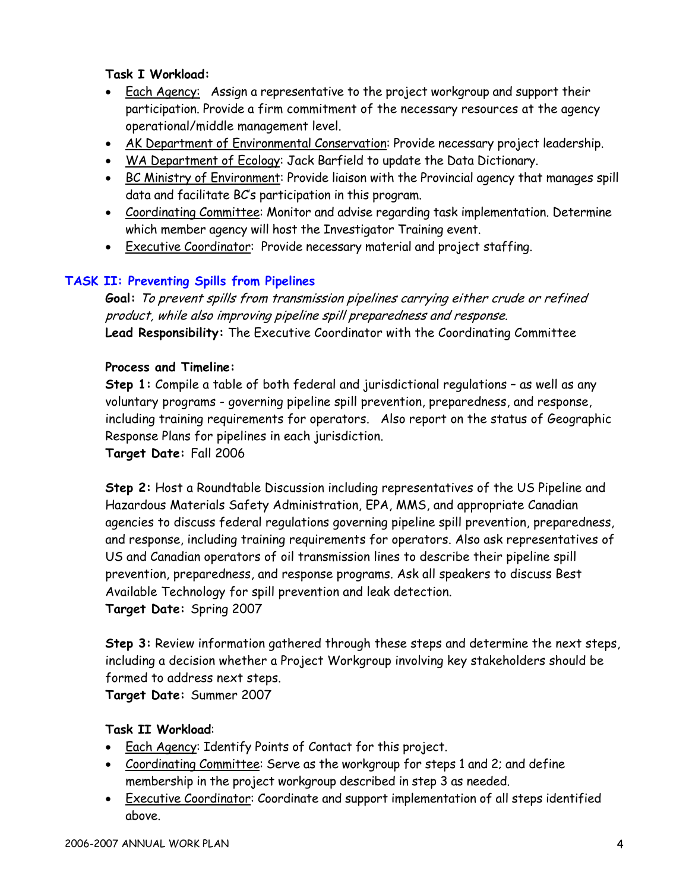# **Task I Workload:**

- Each Agency: Assign a representative to the project workgroup and support their participation. Provide a firm commitment of the necessary resources at the agency operational/middle management level.
- AK Department of Environmental Conservation: Provide necessary project leadership.
- WA Department of Ecology: Jack Barfield to update the Data Dictionary.
- BC Ministry of Environment: Provide liaison with the Provincial agency that manages spill data and facilitate BC's participation in this program.
- Coordinating Committee: Monitor and advise regarding task implementation. Determine which member agency will host the Investigator Training event.
- Executive Coordinator: Provide necessary material and project staffing.

# **TASK II: Preventing Spills from Pipelines**

**Goal:** To prevent spills from transmission pipelines carrying either crude or refined product, while also improving pipeline spill preparedness and response. **Lead Responsibility:** The Executive Coordinator with the Coordinating Committee

# **Process and Timeline:**

**Step 1:** Compile a table of both federal and jurisdictional regulations – as well as any voluntary programs - governing pipeline spill prevention, preparedness, and response, including training requirements for operators. Also report on the status of Geographic Response Plans for pipelines in each jurisdiction.

**Target Date:** Fall 2006

**Step 2:** Host a Roundtable Discussion including representatives of the US Pipeline and Hazardous Materials Safety Administration, EPA, MMS, and appropriate Canadian agencies to discuss federal regulations governing pipeline spill prevention, preparedness, and response, including training requirements for operators. Also ask representatives of US and Canadian operators of oil transmission lines to describe their pipeline spill prevention, preparedness, and response programs. Ask all speakers to discuss Best Available Technology for spill prevention and leak detection. **Target Date:** Spring 2007

**Step 3:** Review information gathered through these steps and determine the next steps, including a decision whether a Project Workgroup involving key stakeholders should be formed to address next steps.

**Target Date:** Summer 2007

- Each Agency: Identify Points of Contact for this project.
- Coordinating Committee: Serve as the workgroup for steps 1 and 2; and define membership in the project workgroup described in step 3 as needed.
- Executive Coordinator: Coordinate and support implementation of all steps identified above.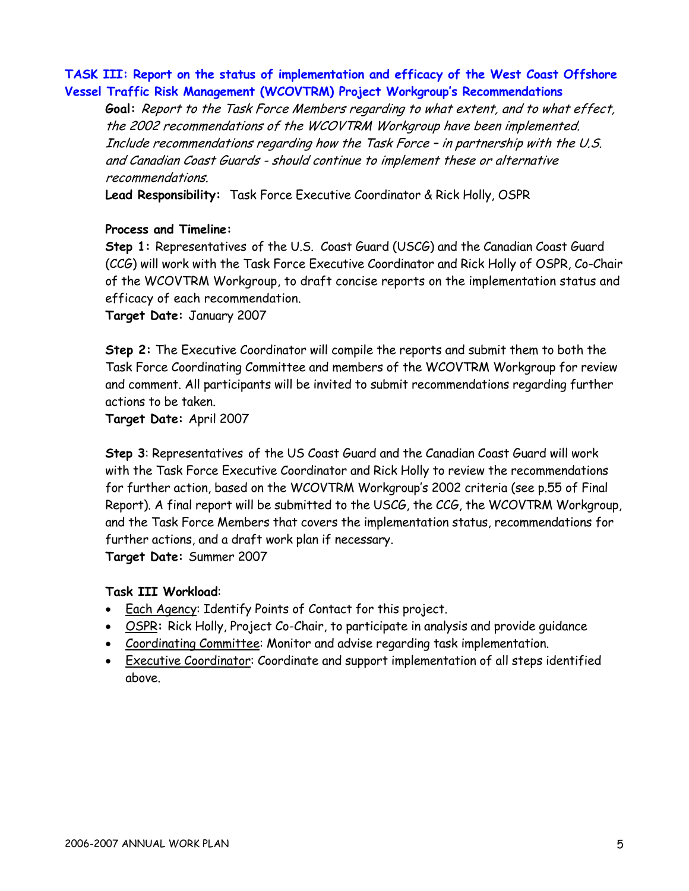### **TASK III: Report on the status of implementation and efficacy of the West Coast Offshore Vessel Traffic Risk Management (WCOVTRM) Project Workgroup's Recommendations**

**Goal:** Report to the Task Force Members regarding to what extent, and to what effect, the 2002 recommendations of the WCOVTRM Workgroup have been implemented. Include recommendations regarding how the Task Force – in partnership with the U.S. and Canadian Coast Guards - should continue to implement these or alternative recommendations.

**Lead Responsibility:** Task Force Executive Coordinator & Rick Holly, OSPR

#### **Process and Timeline:**

**Step 1:** Representatives of the U.S. Coast Guard (USCG) and the Canadian Coast Guard (CCG) will work with the Task Force Executive Coordinator and Rick Holly of OSPR, Co-Chair of the WCOVTRM Workgroup, to draft concise reports on the implementation status and efficacy of each recommendation.

**Target Date:** January 2007

**Step 2:** The Executive Coordinator will compile the reports and submit them to both the Task Force Coordinating Committee and members of the WCOVTRM Workgroup for review and comment. All participants will be invited to submit recommendations regarding further actions to be taken.

**Target Date:** April 2007

**Step 3**: Representatives of the US Coast Guard and the Canadian Coast Guard will work with the Task Force Executive Coordinator and Rick Holly to review the recommendations for further action, based on the WCOVTRM Workgroup's 2002 criteria (see p.55 of Final Report). A final report will be submitted to the USCG, the CCG, the WCOVTRM Workgroup, and the Task Force Members that covers the implementation status, recommendations for further actions, and a draft work plan if necessary. **Target Date:** Summer 2007

# **Task III Workload**:

- Each Agency: Identify Points of Contact for this project.
- OSPR**:** Rick Holly, Project Co-Chair, to participate in analysis and provide guidance
- Coordinating Committee: Monitor and advise regarding task implementation.
- Executive Coordinator: Coordinate and support implementation of all steps identified above.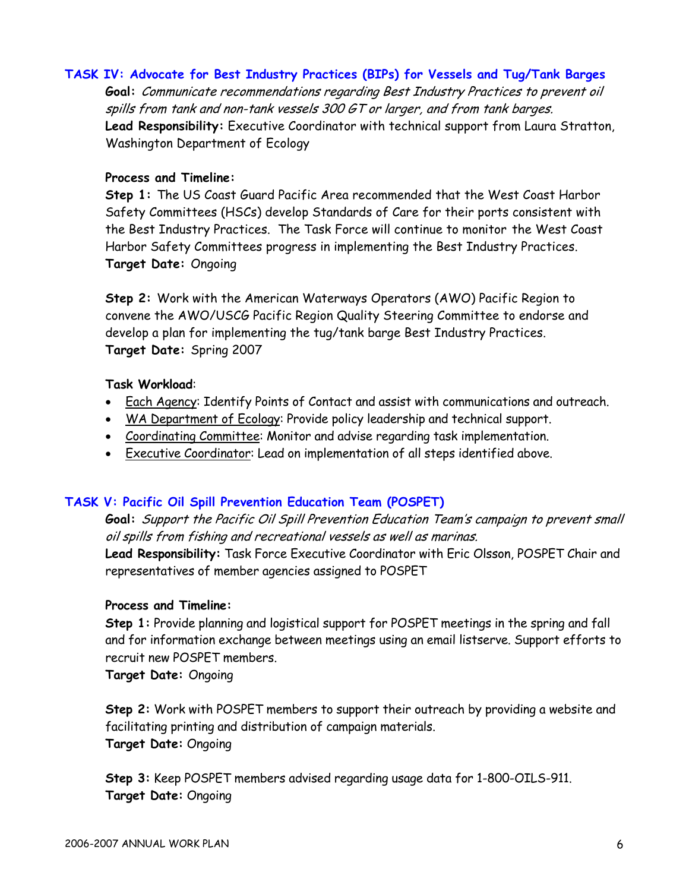#### **TASK IV: Advocate for Best Industry Practices (BIPs) for Vessels and Tug/Tank Barges**

**Goal:** Communicate recommendations regarding Best Industry Practices to prevent oil spills from tank and non-tank vessels 300 GT or larger, and from tank barges. **Lead Responsibility:** Executive Coordinator with technical support from Laura Stratton, Washington Department of Ecology

#### **Process and Timeline:**

**Step 1:** The US Coast Guard Pacific Area recommended that the West Coast Harbor Safety Committees (HSCs) develop Standards of Care for their ports consistent with the Best Industry Practices. The Task Force will continue to monitor the West Coast Harbor Safety Committees progress in implementing the Best Industry Practices. **Target Date:** Ongoing

**Step 2:** Work with the American Waterways Operators (AWO) Pacific Region to convene the AWO/USCG Pacific Region Quality Steering Committee to endorse and develop a plan for implementing the tug/tank barge Best Industry Practices. **Target Date:** Spring 2007

#### **Task Workload**:

- Each Agency: Identify Points of Contact and assist with communications and outreach.
- WA Department of Ecology: Provide policy leadership and technical support.
- Coordinating Committee: Monitor and advise regarding task implementation.
- Executive Coordinator: Lead on implementation of all steps identified above.

#### **TASK V: Pacific Oil Spill Prevention Education Team (POSPET)**

**Goal:** Support the Pacific Oil Spill Prevention Education Team's campaign to prevent small oil spills from fishing and recreational vessels as well as marinas.

**Lead Responsibility:** Task Force Executive Coordinator with Eric Olsson, POSPET Chair and representatives of member agencies assigned to POSPET

#### **Process and Timeline:**

**Step 1:** Provide planning and logistical support for POSPET meetings in the spring and fall and for information exchange between meetings using an email listserve. Support efforts to recruit new POSPET members.

**Target Date:** Ongoing

**Step 2:** Work with POSPET members to support their outreach by providing a website and facilitating printing and distribution of campaign materials. **Target Date:** Ongoing

**Step 3:** Keep POSPET members advised regarding usage data for 1-800-OILS-911. **Target Date:** Ongoing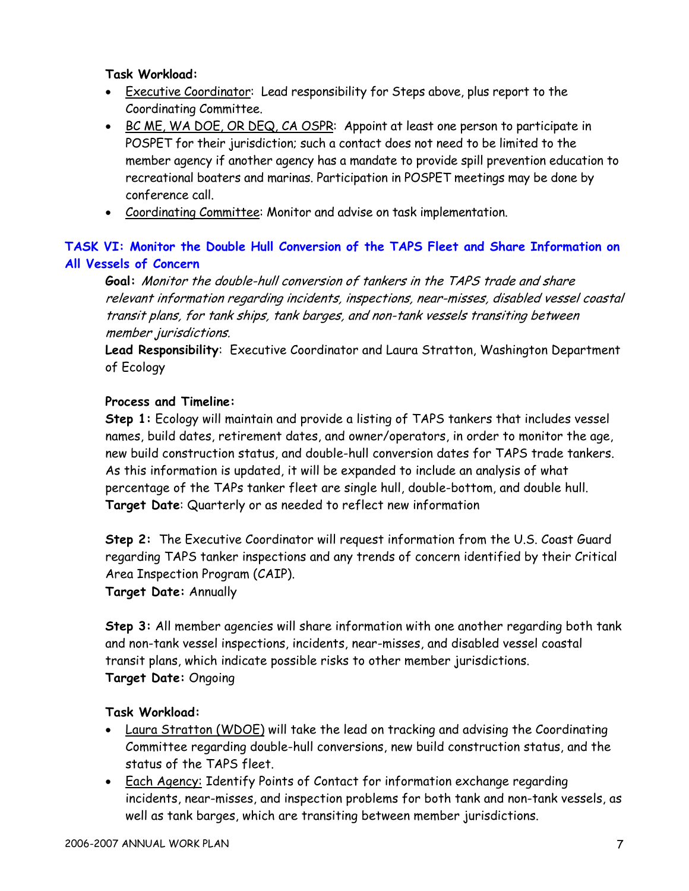# **Task Workload:**

- Executive Coordinator: Lead responsibility for Steps above, plus report to the Coordinating Committee.
- BC ME, WA DOE, OR DEQ, CA OSPR: Appoint at least one person to participate in POSPET for their jurisdiction; such a contact does not need to be limited to the member agency if another agency has a mandate to provide spill prevention education to recreational boaters and marinas. Participation in POSPET meetings may be done by conference call.
- Coordinating Committee: Monitor and advise on task implementation.

# **TASK VI: Monitor the Double Hull Conversion of the TAPS Fleet and Share Information on All Vessels of Concern**

**Goal:** Monitor the double-hull conversion of tankers in the TAPS trade and share relevant information regarding incidents, inspections, near-misses, disabled vessel coastal transit plans, for tank ships, tank barges, and non-tank vessels transiting between member jurisdictions.

**Lead Responsibility**: Executive Coordinator and Laura Stratton, Washington Department of Ecology

# **Process and Timeline:**

**Step 1:** Ecology will maintain and provide a listing of TAPS tankers that includes vessel names, build dates, retirement dates, and owner/operators, in order to monitor the age, new build construction status, and double-hull conversion dates for TAPS trade tankers. As this information is updated, it will be expanded to include an analysis of what percentage of the TAPs tanker fleet are single hull, double-bottom, and double hull. **Target Date**: Quarterly or as needed to reflect new information

**Step 2:** The Executive Coordinator will request information from the U.S. Coast Guard regarding TAPS tanker inspections and any trends of concern identified by their Critical Area Inspection Program (CAIP). **Target Date:** Annually

**Step 3:** All member agencies will share information with one another regarding both tank and non-tank vessel inspections, incidents, near-misses, and disabled vessel coastal transit plans, which indicate possible risks to other member jurisdictions. **Target Date:** Ongoing

- Laura Stratton (WDOE) will take the lead on tracking and advising the Coordinating Committee regarding double-hull conversions, new build construction status, and the status of the TAPS fleet.
- Each Agency: Identify Points of Contact for information exchange regarding incidents, near-misses, and inspection problems for both tank and non-tank vessels, as well as tank barges, which are transiting between member jurisdictions.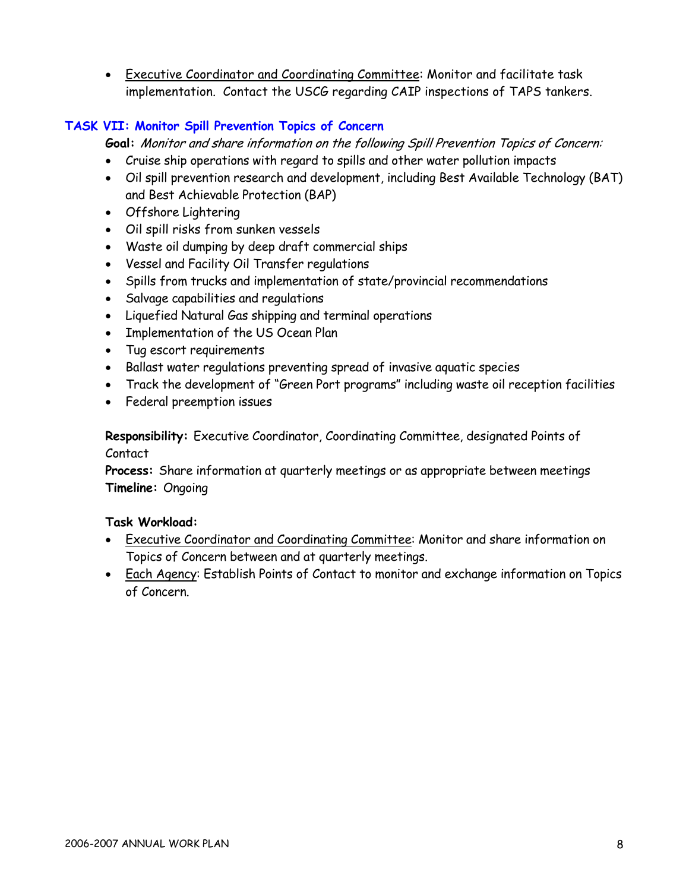• Executive Coordinator and Coordinating Committee: Monitor and facilitate task implementation. Contact the USCG regarding CAIP inspections of TAPS tankers.

# **TASK VII: Monitor Spill Prevention Topics of Concern**

**Goal:** Monitor and share information on the following Spill Prevention Topics of Concern:

- Cruise ship operations with regard to spills and other water pollution impacts
- Oil spill prevention research and development, including Best Available Technology (BAT) and Best Achievable Protection (BAP)
- Offshore Lightering
- Oil spill risks from sunken vessels
- Waste oil dumping by deep draft commercial ships
- Vessel and Facility Oil Transfer regulations
- Spills from trucks and implementation of state/provincial recommendations
- Salvage capabilities and regulations
- Liquefied Natural Gas shipping and terminal operations
- Implementation of the US Ocean Plan
- Tug escort requirements
- Ballast water regulations preventing spread of invasive aquatic species
- Track the development of "Green Port programs" including waste oil reception facilities
- Federal preemption issues

**Responsibility:** Executive Coordinator, Coordinating Committee, designated Points of Contact

**Process:** Share information at quarterly meetings or as appropriate between meetings **Timeline:** Ongoing

- Executive Coordinator and Coordinating Committee: Monitor and share information on Topics of Concern between and at quarterly meetings.
- Each Agency: Establish Points of Contact to monitor and exchange information on Topics of Concern.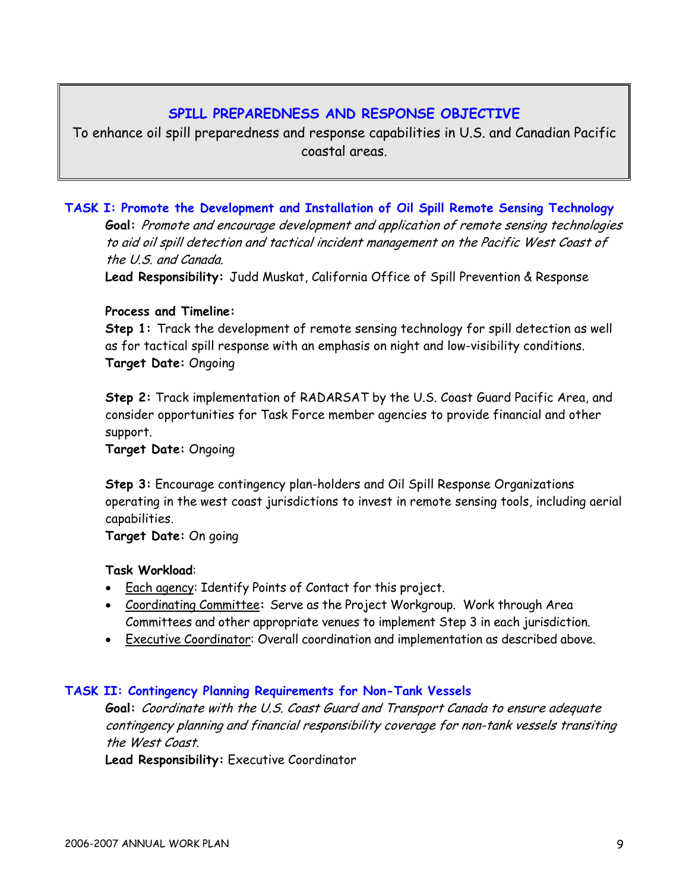# **SPILL PREPAREDNESS AND RESPONSE OBJECTIVE**

To enhance oil spill preparedness and response capabilities in U.S. and Canadian Pacific coastal areas.

**TASK I: Promote the Development and Installation of Oil Spill Remote Sensing Technology Goal:** Promote and encourage development and application of remote sensing technologies to aid oil spill detection and tactical incident management on the Pacific West Coast of the U.S. and Canada.

**Lead Responsibility:** Judd Muskat, California Office of Spill Prevention & Response

#### **Process and Timeline:**

**Step 1:** Track the development of remote sensing technology for spill detection as well as for tactical spill response with an emphasis on night and low-visibility conditions. **Target Date:** Ongoing

**Step 2:** Track implementation of RADARSAT by the U.S. Coast Guard Pacific Area, and consider opportunities for Task Force member agencies to provide financial and other support.

**Target Date:** Ongoing

**Step 3:** Encourage contingency plan-holders and Oil Spill Response Organizations operating in the west coast jurisdictions to invest in remote sensing tools, including aerial capabilities.

**Target Date:** On going

# **Task Workload**:

- Each agency: Identify Points of Contact for this project.
- Coordinating Committee**:** Serve as the Project Workgroup. Work through Area Committees and other appropriate venues to implement Step 3 in each jurisdiction.
- Executive Coordinator: Overall coordination and implementation as described above.

#### **TASK II: Contingency Planning Requirements for Non-Tank Vessels**

**Goal:** Coordinate with the U.S. Coast Guard and Transport Canada to ensure adequate contingency planning and financial responsibility coverage for non-tank vessels transiting the West Coast.

**Lead Responsibility:** Executive Coordinator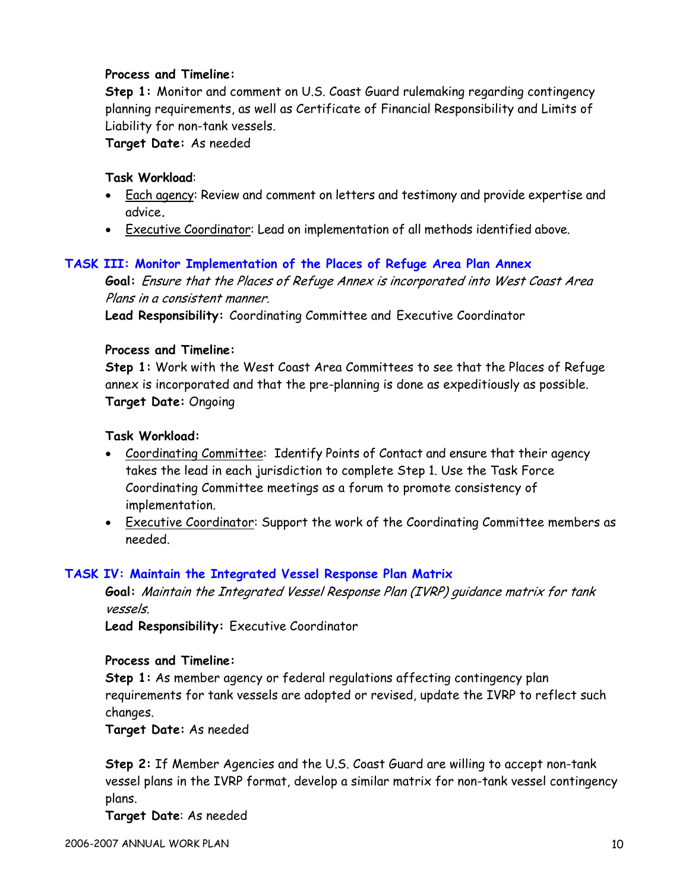### **Process and Timeline:**

**Step 1:** Monitor and comment on U.S. Coast Guard rulemaking regarding contingency planning requirements, as well as Certificate of Financial Responsibility and Limits of Liability for non-tank vessels.

**Target Date:** As needed

#### **Task Workload**:

- Each agency: Review and comment on letters and testimony and provide expertise and advice**.**
- Executive Coordinator: Lead on implementation of all methods identified above.

#### **TASK III: Monitor Implementation of the Places of Refuge Area Plan Annex**

**Goal:** Ensure that the Places of Refuge Annex is incorporated into West Coast Area Plans in a consistent manner.

**Lead Responsibility:** Coordinating Committee and Executive Coordinator

#### **Process and Timeline:**

**Step 1:** Work with the West Coast Area Committees to see that the Places of Refuge annex is incorporated and that the pre-planning is done as expeditiously as possible.  **Target Date:** Ongoing

#### **Task Workload:**

- Coordinating Committee: Identify Points of Contact and ensure that their agency takes the lead in each jurisdiction to complete Step 1. Use the Task Force Coordinating Committee meetings as a forum to promote consistency of implementation.
- Executive Coordinator: Support the work of the Coordinating Committee members as needed.

#### **TASK IV: Maintain the Integrated Vessel Response Plan Matrix**

**Goal:** Maintain the Integrated Vessel Response Plan (IVRP) guidance matrix for tank vessels.

**Lead Responsibility:** Executive Coordinator

#### **Process and Timeline:**

**Step 1:** As member agency or federal regulations affecting contingency plan requirements for tank vessels are adopted or revised, update the IVRP to reflect such changes.

**Target Date:** As needed

**Step 2:** If Member Agencies and the U.S. Coast Guard are willing to accept non-tank vessel plans in the IVRP format, develop a similar matrix for non-tank vessel contingency plans.

**Target Date**: As needed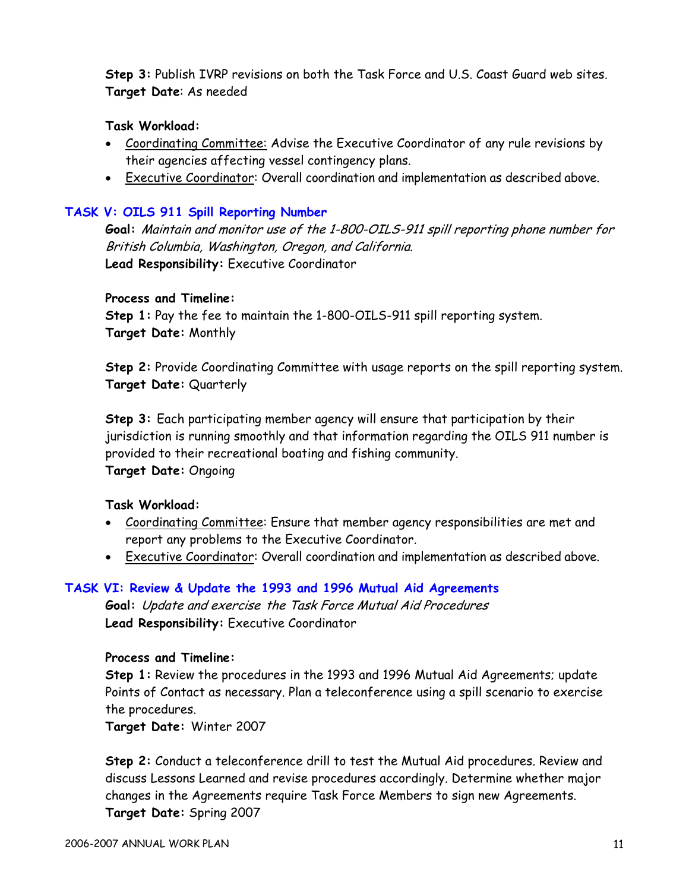**Step 3:** Publish IVRP revisions on both the Task Force and U.S. Coast Guard web sites. **Target Date**: As needed

### **Task Workload:**

- Coordinating Committee: Advise the Executive Coordinator of any rule revisions by their agencies affecting vessel contingency plans.
- Executive Coordinator: Overall coordination and implementation as described above.

# **TASK V: OILS 911 Spill Reporting Number**

**Goal:** Maintain and monitor use of the 1-800-OILS-911 spill reporting phone number for British Columbia, Washington, Oregon, and California. **Lead Responsibility:** Executive Coordinator

#### **Process and Timeline:**

**Step 1:** Pay the fee to maintain the 1-800-OILS-911 spill reporting system. **Target Date:** Monthly

**Step 2:** Provide Coordinating Committee with usage reports on the spill reporting system. **Target Date:** Quarterly

**Step 3:** Each participating member agency will ensure that participation by their jurisdiction is running smoothly and that information regarding the OILS 911 number is provided to their recreational boating and fishing community. **Target Date:** Ongoing

#### **Task Workload:**

- Coordinating Committee: Ensure that member agency responsibilities are met and report any problems to the Executive Coordinator.
- Executive Coordinator: Overall coordination and implementation as described above.

# **TASK VI: Review & Update the 1993 and 1996 Mutual Aid Agreements**

**Goal:** Update and exercise the Task Force Mutual Aid Procedures **Lead Responsibility:** Executive Coordinator

#### **Process and Timeline:**

**Step 1:** Review the procedures in the 1993 and 1996 Mutual Aid Agreements; update Points of Contact as necessary. Plan a teleconference using a spill scenario to exercise the procedures.

**Target Date:** Winter 2007

**Step 2:** Conduct a teleconference drill to test the Mutual Aid procedures. Review and discuss Lessons Learned and revise procedures accordingly. Determine whether major changes in the Agreements require Task Force Members to sign new Agreements. **Target Date:** Spring 2007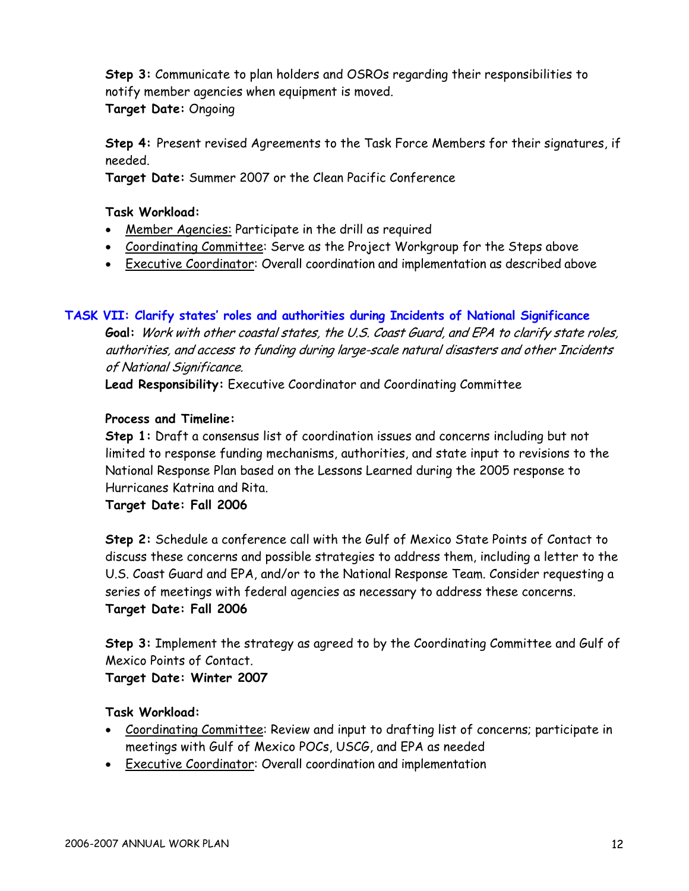**Step 3:** Communicate to plan holders and OSROs regarding their responsibilities to notify member agencies when equipment is moved.

**Target Date:** Ongoing

**Step 4:** Present revised Agreements to the Task Force Members for their signatures, if needed.

**Target Date:** Summer 2007 or the Clean Pacific Conference

**Task Workload:** 

- Member Agencies: Participate in the drill as required
- Coordinating Committee: Serve as the Project Workgroup for the Steps above
- Executive Coordinator: Overall coordination and implementation as described above

# **TASK VII: Clarify states' roles and authorities during Incidents of National Significance**

**Goal:** Work with other coastal states, the U.S. Coast Guard, and EPA to clarify state roles, authorities, and access to funding during large-scale natural disasters and other Incidents of National Significance.

**Lead Responsibility:** Executive Coordinator and Coordinating Committee

# **Process and Timeline:**

**Step 1:** Draft a consensus list of coordination issues and concerns including but not limited to response funding mechanisms, authorities, and state input to revisions to the National Response Plan based on the Lessons Learned during the 2005 response to Hurricanes Katrina and Rita.

**Target Date: Fall 2006** 

**Step 2:** Schedule a conference call with the Gulf of Mexico State Points of Contact to discuss these concerns and possible strategies to address them, including a letter to the U.S. Coast Guard and EPA, and/or to the National Response Team. Consider requesting a series of meetings with federal agencies as necessary to address these concerns. **Target Date: Fall 2006** 

**Step 3:** Implement the strategy as agreed to by the Coordinating Committee and Gulf of Mexico Points of Contact.

# **Target Date: Winter 2007**

- Coordinating Committee: Review and input to drafting list of concerns; participate in meetings with Gulf of Mexico POCs, USCG, and EPA as needed
- Executive Coordinator: Overall coordination and implementation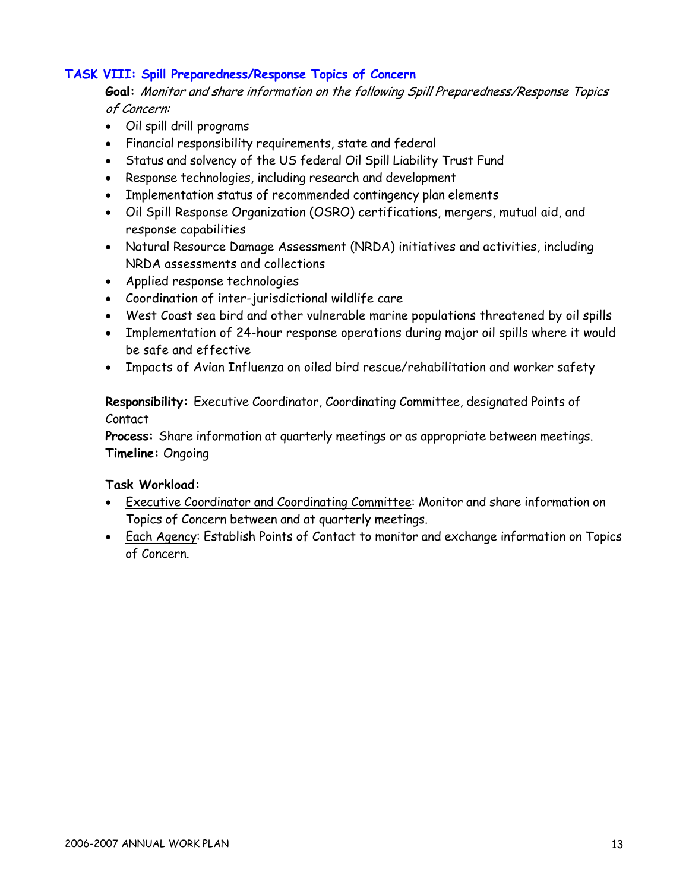# **TASK VIII: Spill Preparedness/Response Topics of Concern**

**Goal:** Monitor and share information on the following Spill Preparedness/Response Topics of Concern:

- Oil spill drill programs
- Financial responsibility requirements, state and federal
- Status and solvency of the US federal Oil Spill Liability Trust Fund
- Response technologies, including research and development
- Implementation status of recommended contingency plan elements
- Oil Spill Response Organization (OSRO) certifications, mergers, mutual aid, and response capabilities
- Natural Resource Damage Assessment (NRDA) initiatives and activities, including NRDA assessments and collections
- Applied response technologies
- Coordination of inter-jurisdictional wildlife care
- West Coast sea bird and other vulnerable marine populations threatened by oil spills
- Implementation of 24-hour response operations during major oil spills where it would be safe and effective
- Impacts of Avian Influenza on oiled bird rescue/rehabilitation and worker safety

**Responsibility:** Executive Coordinator, Coordinating Committee, designated Points of Contact

**Process:** Share information at quarterly meetings or as appropriate between meetings. **Timeline:** Ongoing

- Executive Coordinator and Coordinating Committee: Monitor and share information on Topics of Concern between and at quarterly meetings.
- Each Agency: Establish Points of Contact to monitor and exchange information on Topics of Concern.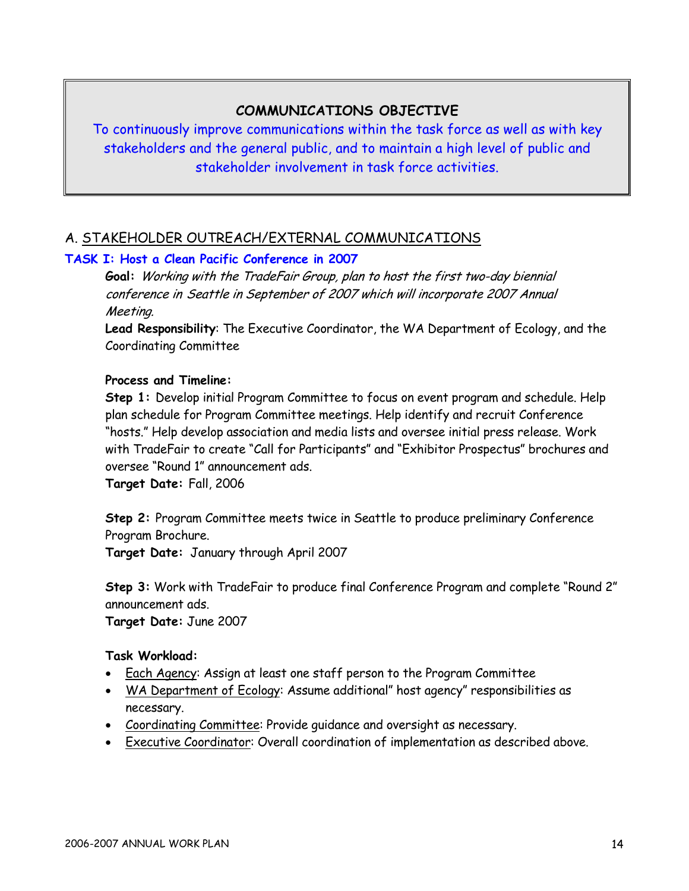# **COMMUNICATIONS OBJECTIVE**

To continuously improve communications within the task force as well as with key stakeholders and the general public, and to maintain a high level of public and stakeholder involvement in task force activities.

# A. STAKEHOLDER OUTREACH/EXTERNAL COMMUNICATIONS

# **TASK I: Host a Clean Pacific Conference in 2007**

**Goal:** Working with the TradeFair Group, plan to host the first two-day biennial conference in Seattle in September of 2007 which will incorporate 2007 Annual Meeting.

 **Lead Responsibility**: The Executive Coordinator, the WA Department of Ecology, and the Coordinating Committee

# **Process and Timeline:**

 **Step 1:** Develop initial Program Committee to focus on event program and schedule. Help plan schedule for Program Committee meetings. Help identify and recruit Conference "hosts." Help develop association and media lists and oversee initial press release. Work with TradeFair to create "Call for Participants" and "Exhibitor Prospectus" brochures and oversee "Round 1" announcement ads.

 **Target Date:** Fall, 2006

**Step 2:** Program Committee meets twice in Seattle to produce preliminary Conference Program Brochure.

**Target Date:** January through April 2007

**Step 3:** Work with TradeFair to produce final Conference Program and complete "Round 2" announcement ads.

**Target Date:** June 2007

- Each Agency: Assign at least one staff person to the Program Committee
- WA Department of Ecology: Assume additional" host agency" responsibilities as necessary.
- Coordinating Committee: Provide guidance and oversight as necessary.
- Executive Coordinator: Overall coordination of implementation as described above.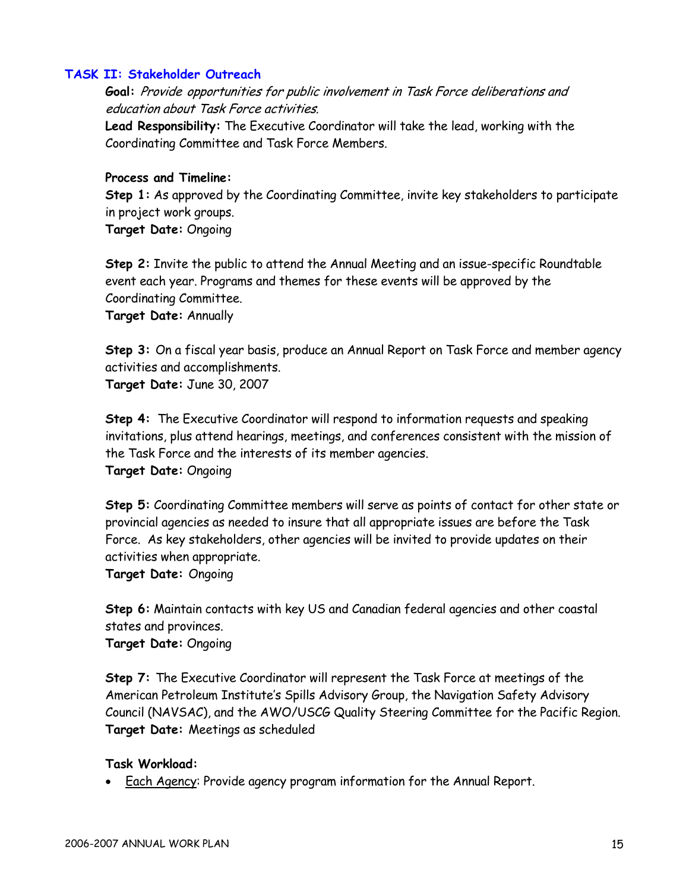#### **TASK II: Stakeholder Outreach**

**Goal:** Provide opportunities for public involvement in Task Force deliberations and education about Task Force activities.

**Lead Responsibility:** The Executive Coordinator will take the lead, working with the Coordinating Committee and Task Force Members.

#### **Process and Timeline:**

**Step 1:** As approved by the Coordinating Committee, invite key stakeholders to participate in project work groups.

**Target Date:** Ongoing

**Step 2:** Invite the public to attend the Annual Meeting and an issue-specific Roundtable event each year. Programs and themes for these events will be approved by the Coordinating Committee.

**Target Date:** Annually

**Step 3:** On a fiscal year basis, produce an Annual Report on Task Force and member agency activities and accomplishments. **Target Date:** June 30, 2007

**Step 4:** The Executive Coordinator will respond to information requests and speaking invitations, plus attend hearings, meetings, and conferences consistent with the mission of the Task Force and the interests of its member agencies. **Target Date:** Ongoing

**Step 5:** Coordinating Committee members will serve as points of contact for other state or provincial agencies as needed to insure that all appropriate issues are before the Task Force. As key stakeholders, other agencies will be invited to provide updates on their activities when appropriate.

**Target Date:** Ongoing

**Step 6:** Maintain contacts with key US and Canadian federal agencies and other coastal states and provinces. **Target Date:** Ongoing

**Step 7:** The Executive Coordinator will represent the Task Force at meetings of the American Petroleum Institute's Spills Advisory Group, the Navigation Safety Advisory Council (NAVSAC), and the AWO/USCG Quality Steering Committee for the Pacific Region. **Target Date:** Meetings as scheduled

#### **Task Workload:**

• Each Agency: Provide agency program information for the Annual Report.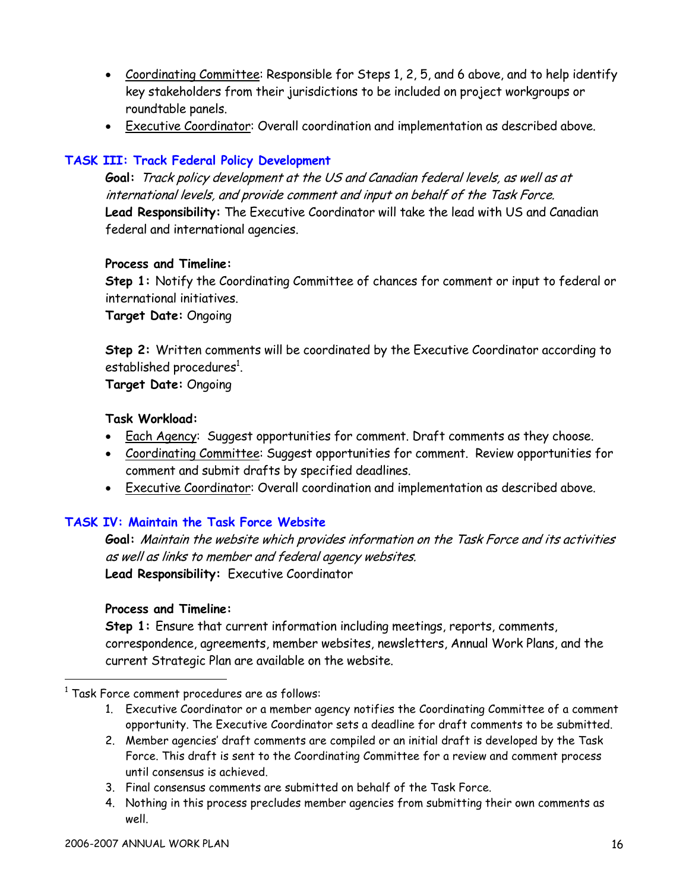- Coordinating Committee: Responsible for Steps 1, 2, 5, and 6 above, and to help identify key stakeholders from their jurisdictions to be included on project workgroups or roundtable panels.
- Executive Coordinator: Overall coordination and implementation as described above.

# **TASK III: Track Federal Policy Development**

**Goal:** Track policy development at the US and Canadian federal levels, as well as at international levels, and provide comment and input on behalf of the Task Force. **Lead Responsibility:** The Executive Coordinator will take the lead with US and Canadian federal and international agencies.

#### **Process and Timeline:**

**Step 1:** Notify the Coordinating Committee of chances for comment or input to federal or international initiatives.

**Target Date:** Ongoing

**Step 2:** Written comments will be coordinated by the Executive Coordinator according to established procedures $^{\rm 1}$ .

**Target Date:** Ongoing

#### **Task Workload:**

- Each Agency: Suggest opportunities for comment. Draft comments as they choose.
- Coordinating Committee: Suggest opportunities for comment. Review opportunities for comment and submit drafts by specified deadlines.
- Executive Coordinator: Overall coordination and implementation as described above.

# **TASK IV: Maintain the Task Force Website**

**Goal:** Maintain the website which provides information on the Task Force and its activities as well as links to member and federal agency websites. **Lead Responsibility:** Executive Coordinator

# **Process and Timeline:**

**Step 1:** Ensure that current information including meetings, reports, comments, correspondence, agreements, member websites, newsletters, Annual Work Plans, and the current Strategic Plan are available on the website.

- 1. Executive Coordinator or a member agency notifies the Coordinating Committee of a comment opportunity. The Executive Coordinator sets a deadline for draft comments to be submitted.
- 2. Member agencies' draft comments are compiled or an initial draft is developed by the Task Force. This draft is sent to the Coordinating Committee for a review and comment process until consensus is achieved.
- 3. Final consensus comments are submitted on behalf of the Task Force.
- 4. Nothing in this process precludes member agencies from submitting their own comments as well.

 $^1$  Task Force comment procedures are as follows: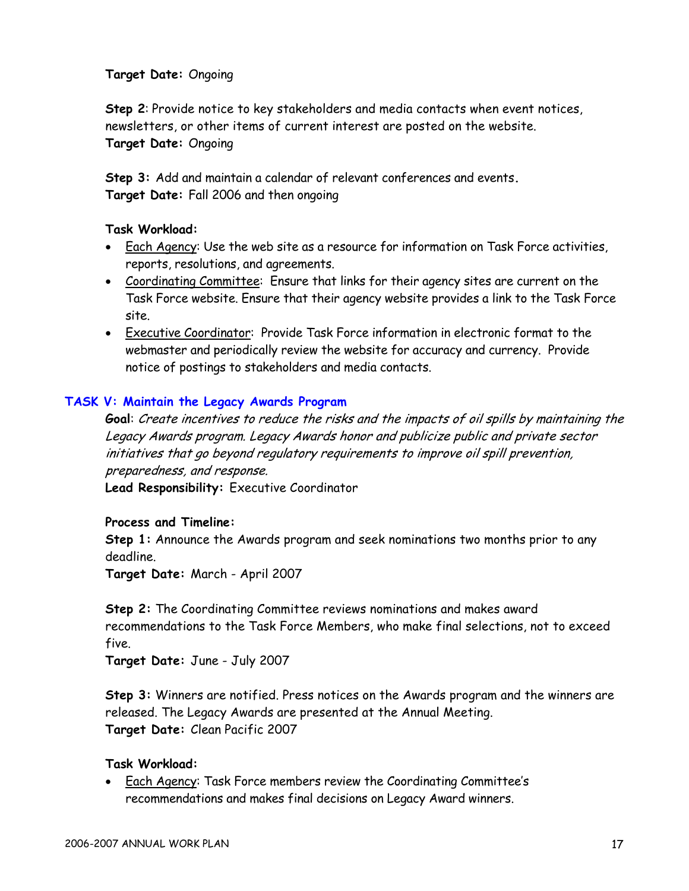**Target Date:** Ongoing

**Step 2**: Provide notice to key stakeholders and media contacts when event notices, newsletters, or other items of current interest are posted on the website. **Target Date:** Ongoing

**Step 3:** Add and maintain a calendar of relevant conferences and events**. Target Date:** Fall 2006 and then ongoing

#### **Task Workload:**

- Each Agency: Use the web site as a resource for information on Task Force activities, reports, resolutions, and agreements.
- Coordinating Committee: Ensure that links for their agency sites are current on the Task Force website. Ensure that their agency website provides a link to the Task Force site.
- Executive Coordinator: Provide Task Force information in electronic format to the webmaster and periodically review the website for accuracy and currency. Provide notice of postings to stakeholders and media contacts.

# **TASK V: Maintain the Legacy Awards Program**

**Goal**: Create incentives to reduce the risks and the impacts of oil spills by maintaining the Legacy Awards program. Legacy Awards honor and publicize public and private sector initiatives that go beyond regulatory requirements to improve oil spill prevention, preparedness, and response.

**Lead Responsibility:** Executive Coordinator

#### **Process and Timeline:**

**Step 1:** Announce the Awards program and seek nominations two months prior to any deadline.

**Target Date:** March - April 2007

**Step 2:** The Coordinating Committee reviews nominations and makes award recommendations to the Task Force Members, who make final selections, not to exceed five.

**Target Date:** June - July 2007

**Step 3:** Winners are notified. Press notices on the Awards program and the winners are released. The Legacy Awards are presented at the Annual Meeting. **Target Date:** Clean Pacific 2007

#### **Task Workload:**

• Each Agency: Task Force members review the Coordinating Committee's recommendations and makes final decisions on Legacy Award winners.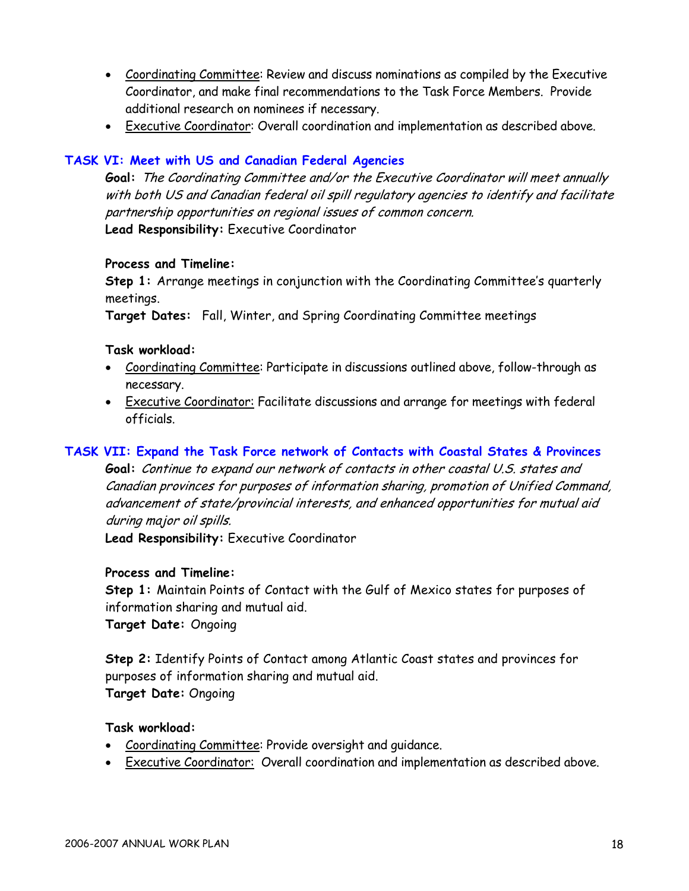- Coordinating Committee: Review and discuss nominations as compiled by the Executive Coordinator, and make final recommendations to the Task Force Members. Provide additional research on nominees if necessary.
- Executive Coordinator: Overall coordination and implementation as described above.

# **TASK VI: Meet with US and Canadian Federal Agencies**

**Goal:** The Coordinating Committee and/or the Executive Coordinator will meet annually with both US and Canadian federal oil spill regulatory agencies to identify and facilitate partnership opportunities on regional issues of common concern. **Lead Responsibility:** Executive Coordinator

#### **Process and Timeline:**

**Step 1:** Arrange meetings in conjunction with the Coordinating Committee's quarterly meetings.

**Target Dates:** Fall, Winter, and Spring Coordinating Committee meetings

#### **Task workload:**

- Coordinating Committee: Participate in discussions outlined above, follow-through as necessary.
- Executive Coordinator: Facilitate discussions and arrange for meetings with federal officials.

# **TASK VII: Expand the Task Force network of Contacts with Coastal States & Provinces**

**Goal:** Continue to expand our network of contacts in other coastal U.S. states and Canadian provinces for purposes of information sharing, promotion of Unified Command, advancement of state/provincial interests, and enhanced opportunities for mutual aid during major oil spills.

**Lead Responsibility:** Executive Coordinator

# **Process and Timeline:**

**Step 1:** Maintain Points of Contact with the Gulf of Mexico states for purposes of information sharing and mutual aid. **Target Date:** Ongoing

**Step 2:** Identify Points of Contact among Atlantic Coast states and provinces for purposes of information sharing and mutual aid.

**Target Date:** Ongoing

- Coordinating Committee: Provide oversight and guidance.
- Executive Coordinator: Overall coordination and implementation as described above.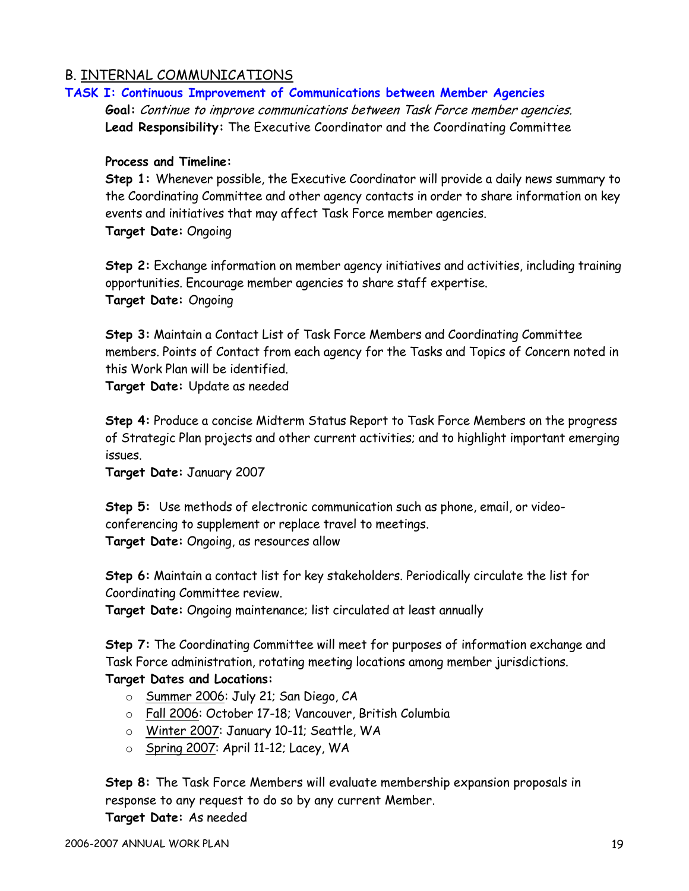# B. INTERNAL COMMUNICATIONS

#### **TASK I: Continuous Improvement of Communications between Member Agencies**

**Goal:** Continue to improve communications between Task Force member agencies. **Lead Responsibility:** The Executive Coordinator and the Coordinating Committee

#### **Process and Timeline:**

**Step 1:** Whenever possible, the Executive Coordinator will provide a daily news summary to the Coordinating Committee and other agency contacts in order to share information on key events and initiatives that may affect Task Force member agencies. **Target Date:** Ongoing

**Step 2:** Exchange information on member agency initiatives and activities, including training opportunities. Encourage member agencies to share staff expertise. **Target Date:** Ongoing

**Step 3:** Maintain a Contact List of Task Force Members and Coordinating Committee members. Points of Contact from each agency for the Tasks and Topics of Concern noted in this Work Plan will be identified.

**Target Date:** Update as needed

**Step 4:** Produce a concise Midterm Status Report to Task Force Members on the progress of Strategic Plan projects and other current activities; and to highlight important emerging issues.

**Target Date:** January 2007

**Step 5:** Use methods of electronic communication such as phone, email, or videoconferencing to supplement or replace travel to meetings. **Target Date:** Ongoing, as resources allow

**Step 6:** Maintain a contact list for key stakeholders. Periodically circulate the list for Coordinating Committee review.

**Target Date:** Ongoing maintenance; list circulated at least annually

**Step 7:** The Coordinating Committee will meet for purposes of information exchange and Task Force administration, rotating meeting locations among member jurisdictions.

# **Target Dates and Locations:**

- o Summer 2006: July 21; San Diego, CA
- o Fall 2006: October 17-18; Vancouver, British Columbia
- o Winter 2007: January 10-11; Seattle, WA
- o Spring 2007: April 11-12; Lacey, WA

**Step 8:** The Task Force Members will evaluate membership expansion proposals in response to any request to do so by any current Member.

**Target Date:** As needed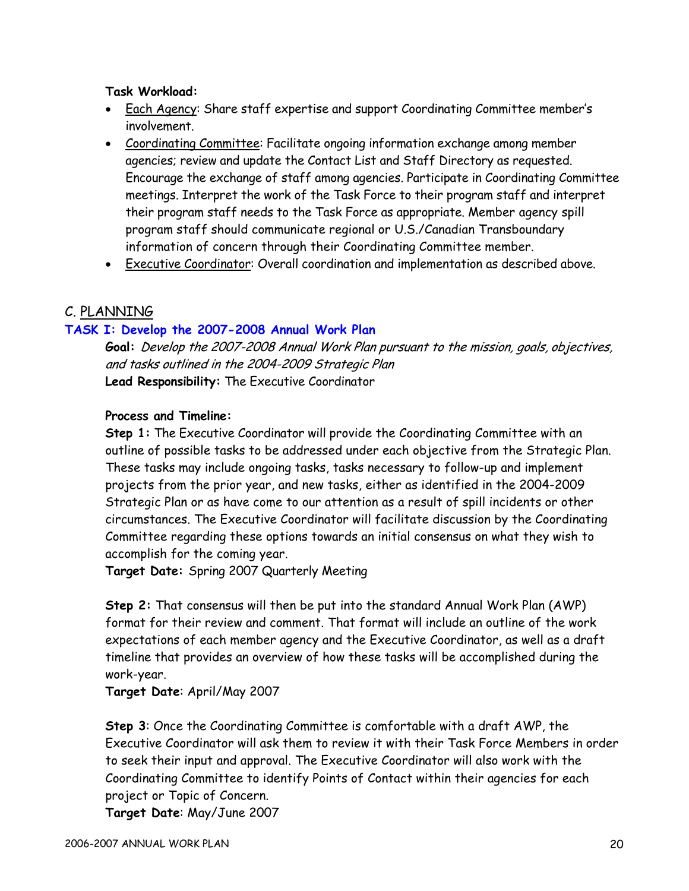#### **Task Workload:**

- Each Agency: Share staff expertise and support Coordinating Committee member's involvement.
- Coordinating Committee: Facilitate ongoing information exchange among member agencies; review and update the Contact List and Staff Directory as requested. Encourage the exchange of staff among agencies. Participate in Coordinating Committee meetings. Interpret the work of the Task Force to their program staff and interpret their program staff needs to the Task Force as appropriate. Member agency spill program staff should communicate regional or U.S./Canadian Transboundary information of concern through their Coordinating Committee member.
- Executive Coordinator: Overall coordination and implementation as described above.

# C. PLANNING

#### **TASK I: Develop the 2007-2008 Annual Work Plan**

**Goal:** Develop the 2007-2008 Annual Work Plan pursuant to the mission, goals, objectives, and tasks outlined in the 2004-2009 Strategic Plan **Lead Responsibility:** The Executive Coordinator

# **Process and Timeline:**

**Step 1:** The Executive Coordinator will provide the Coordinating Committee with an outline of possible tasks to be addressed under each objective from the Strategic Plan. These tasks may include ongoing tasks, tasks necessary to follow-up and implement projects from the prior year, and new tasks, either as identified in the 2004-2009 Strategic Plan or as have come to our attention as a result of spill incidents or other circumstances. The Executive Coordinator will facilitate discussion by the Coordinating Committee regarding these options towards an initial consensus on what they wish to accomplish for the coming year.

**Target Date:** Spring 2007 Quarterly Meeting

**Step 2:** That consensus will then be put into the standard Annual Work Plan (AWP) format for their review and comment. That format will include an outline of the work expectations of each member agency and the Executive Coordinator, as well as a draft timeline that provides an overview of how these tasks will be accomplished during the work-year.

**Target Date**: April/May 2007

**Step 3**: Once the Coordinating Committee is comfortable with a draft AWP, the Executive Coordinator will ask them to review it with their Task Force Members in order to seek their input and approval. The Executive Coordinator will also work with the Coordinating Committee to identify Points of Contact within their agencies for each project or Topic of Concern.

**Target Date**: May/June 2007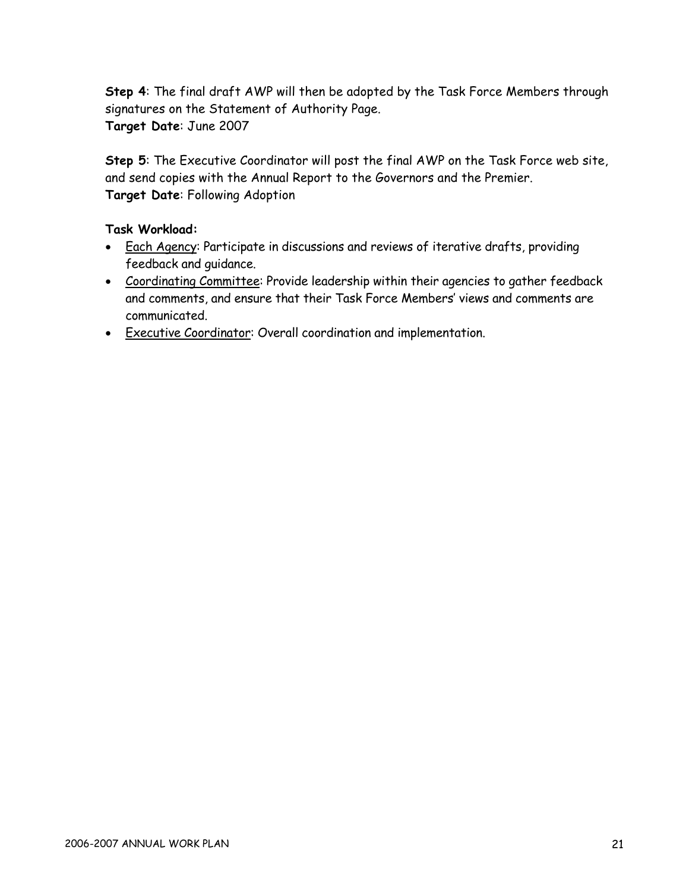**Step 4**: The final draft AWP will then be adopted by the Task Force Members through signatures on the Statement of Authority Page. **Target Date**: June 2007

**Step 5**: The Executive Coordinator will post the final AWP on the Task Force web site, and send copies with the Annual Report to the Governors and the Premier. **Target Date**: Following Adoption

- Each Agency: Participate in discussions and reviews of iterative drafts, providing feedback and guidance.
- Coordinating Committee: Provide leadership within their agencies to gather feedback and comments, and ensure that their Task Force Members' views and comments are communicated.
- Executive Coordinator: Overall coordination and implementation.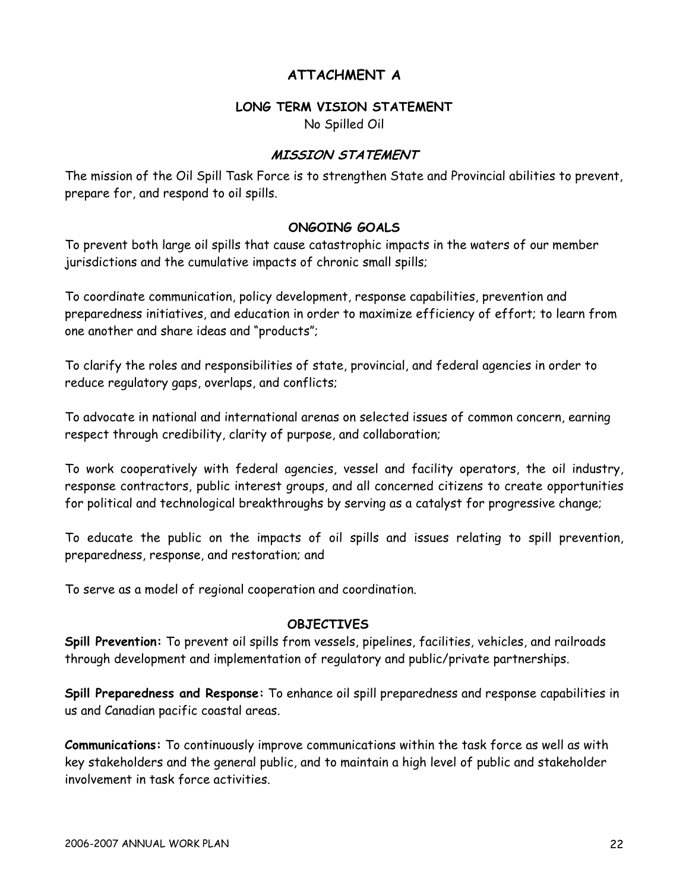# **ATTACHMENT A**

#### **LONG TERM VISION STATEMENT**

No Spilled Oil

# **MISSION STATEMENT**

The mission of the Oil Spill Task Force is to strengthen State and Provincial abilities to prevent, prepare for, and respond to oil spills.

# **ONGOING GOALS**

To prevent both large oil spills that cause catastrophic impacts in the waters of our member jurisdictions and the cumulative impacts of chronic small spills;

To coordinate communication, policy development, response capabilities, prevention and preparedness initiatives, and education in order to maximize efficiency of effort; to learn from one another and share ideas and "products";

To clarify the roles and responsibilities of state, provincial, and federal agencies in order to reduce regulatory gaps, overlaps, and conflicts;

To advocate in national and international arenas on selected issues of common concern, earning respect through credibility, clarity of purpose, and collaboration;

To work cooperatively with federal agencies, vessel and facility operators, the oil industry, response contractors, public interest groups, and all concerned citizens to create opportunities for political and technological breakthroughs by serving as a catalyst for progressive change;

To educate the public on the impacts of oil spills and issues relating to spill prevention, preparedness, response, and restoration; and

To serve as a model of regional cooperation and coordination.

#### **OBJECTIVES**

**Spill Prevention:** To prevent oil spills from vessels, pipelines, facilities, vehicles, and railroads through development and implementation of regulatory and public/private partnerships.

**Spill Preparedness and Response:** To enhance oil spill preparedness and response capabilities in us and Canadian pacific coastal areas.

**Communications:** To continuously improve communications within the task force as well as with key stakeholders and the general public, and to maintain a high level of public and stakeholder involvement in task force activities.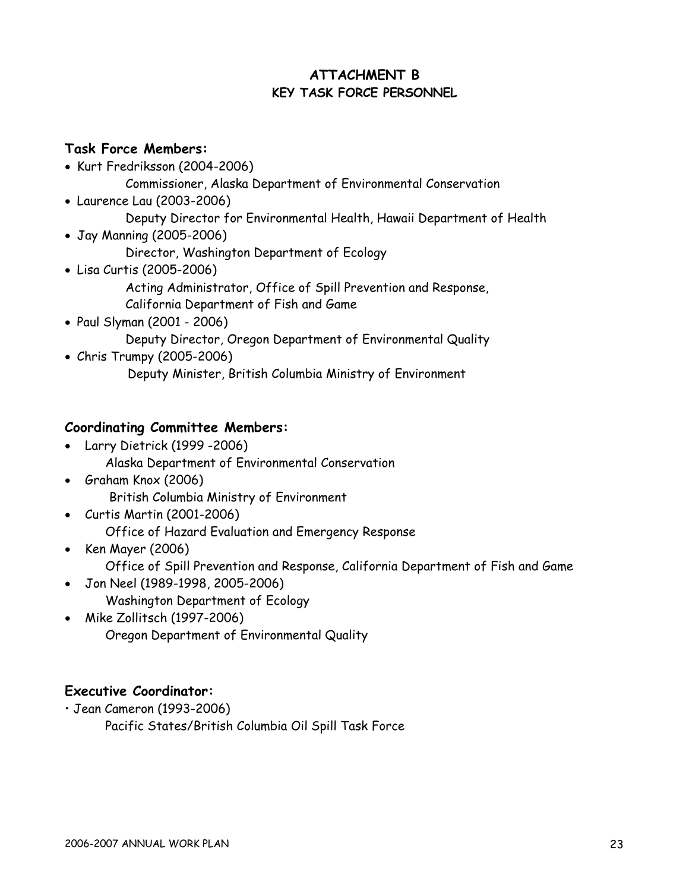# **ATTACHMENT B KEY TASK FORCE PERSONNEL**

# **Task Force Members:**

- Kurt Fredriksson (2004-2006)
	- Commissioner, Alaska Department of Environmental Conservation
- Laurence Lau (2003-2006)
	- Deputy Director for Environmental Health, Hawaii Department of Health
- Jay Manning (2005-2006)
	- Director, Washington Department of Ecology
- Lisa Curtis (2005-2006) Acting Administrator, Office of Spill Prevention and Response, California Department of Fish and Game
- Paul Slyman (2001 2006) Deputy Director, Oregon Department of Environmental Quality
- Chris Trumpy (2005-2006) Deputy Minister, British Columbia Ministry of Environment

# **Coordinating Committee Members:**

- Larry Dietrick (1999 -2006)
	- Alaska Department of Environmental Conservation
- Graham Knox (2006) British Columbia Ministry of Environment
- Curtis Martin (2001-2006) Office of Hazard Evaluation and Emergency Response
- Ken Mayer (2006) Office of Spill Prevention and Response, California Department of Fish and Game • Jon Neel (1989-1998, 2005-2006)
	- Washington Department of Ecology
- Mike Zollitsch (1997-2006) Oregon Department of Environmental Quality

# **Executive Coordinator:**

• Jean Cameron (1993-2006)

Pacific States/British Columbia Oil Spill Task Force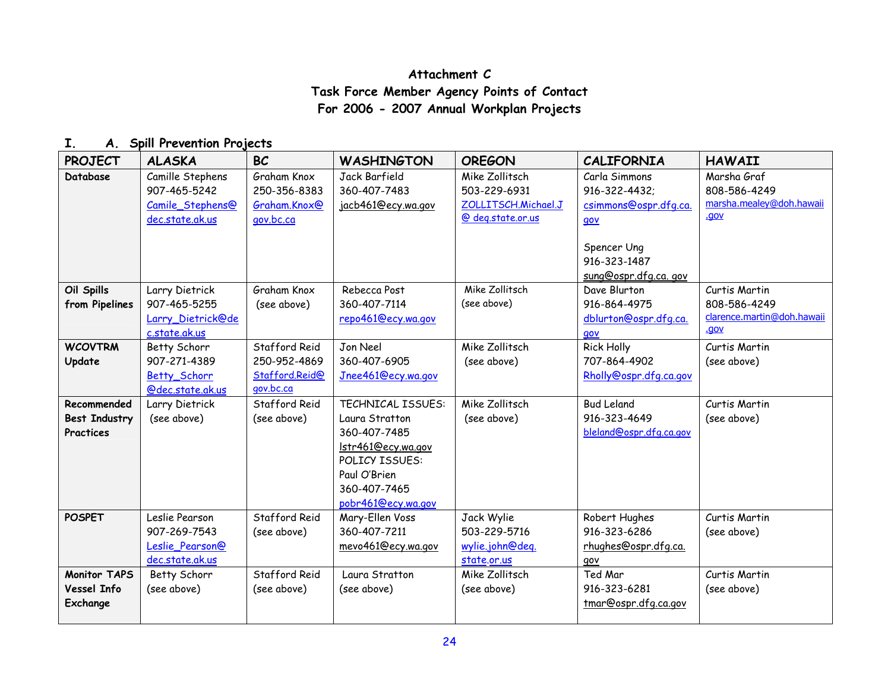# **Attachment C Task Force Member Agency Points of Contact For 2006 - 2007 Annual Workplan Projects**

### **I. A. Spill Prevention Projects**

| <b>PROJECT</b>                                   | <b>ALASKA</b>                                                           | <b>BC</b>                                                    | <b>WASHINGTON</b>                                                                                                                                        | <b>OREGON</b>                                                              | <b>CALIFORNIA</b>                                              | <b>HAWAII</b>                                                       |
|--------------------------------------------------|-------------------------------------------------------------------------|--------------------------------------------------------------|----------------------------------------------------------------------------------------------------------------------------------------------------------|----------------------------------------------------------------------------|----------------------------------------------------------------|---------------------------------------------------------------------|
| Database                                         | Camille Stephens<br>907-465-5242<br>Camile Stephens@<br>dec.state.ak.us | Graham Knox<br>250-356-8383<br>Graham.Knox@<br>gov.bc.ca     | Jack Barfield<br>360-407-7483<br>jacb461@ecy.wa.gov                                                                                                      | Mike Zollitsch<br>503-229-6931<br>ZOLLITSCH.Michael.J<br>@ deg.state.or.us | Carla Simmons<br>916-322-4432;<br>csimmons@ospr.dfg.ca.<br>qov | Marsha Graf<br>808-586-4249<br>marsha.mealey@doh.hawaii<br>.gov     |
|                                                  |                                                                         |                                                              |                                                                                                                                                          |                                                                            | Spencer Ung<br>916-323-1487<br>sung@ospr.dfg.ca.gov            |                                                                     |
| Oil Spills<br>from Pipelines                     | Larry Dietrick<br>907-465-5255<br>Larry Dietrick@de<br>c.state.ak.us    | Graham Knox<br>(see above)                                   | Rebecca Post<br>360-407-7114<br>repo461@ecy.wa.gov                                                                                                       | Mike Zollitsch<br>(see above)                                              | Dave Blurton<br>916-864-4975<br>dblurton@ospr.dfg.ca.<br>gov   | Curtis Martin<br>808-586-4249<br>clarence.martin@doh.hawaii<br>.gov |
| <b>WCOVTRM</b><br>Update                         | Betty Schorr<br>907-271-4389<br><b>Betty Schorr</b><br>@dec.state.ak.us | Stafford Reid<br>250-952-4869<br>Stafford.Reid@<br>gov.bc.ca | Jon Neel<br>360-407-6905<br>Jnee461@ecy.wa.gov                                                                                                           | Mike Zollitsch<br>(see above)                                              | <b>Rick Holly</b><br>707-864-4902<br>Rholly@ospr.dfg.ca.gov    | Curtis Martin<br>(see above)                                        |
| Recommended<br><b>Best Industry</b><br>Practices | Larry Dietrick<br>(see above)                                           | Stafford Reid<br>(see above)                                 | <b>TECHNICAL ISSUES:</b><br>Laura Stratton<br>360-407-7485<br>Istr461@ecy.wa.gov<br>POLICY ISSUES:<br>Paul O'Brien<br>360-407-7465<br>pobr461@ecy.wa.gov | Mike Zollitsch<br>(see above)                                              | <b>Bud Leland</b><br>916-323-4649<br>bleland@ospr.dfg.ca.gov   | Curtis Martin<br>(see above)                                        |
| <b>POSPET</b>                                    | Leslie Pearson<br>907-269-7543<br>Leslie Pearson@<br>dec.state.ak.us    | Stafford Reid<br>(see above)                                 | Mary-Ellen Voss<br>360-407-7211<br>mevo461@ecy.wa.gov                                                                                                    | Jack Wylie<br>503-229-5716<br>wylie.john@deg.<br>state.or.us               | Robert Hughes<br>916-323-6286<br>rhughes@ospr.dfg.ca.<br>qov   | Curtis Martin<br>(see above)                                        |
| <b>Monitor TAPS</b><br>Vessel Info<br>Exchange   | Betty Schorr<br>(see above)                                             | Stafford Reid<br>(see above)                                 | Laura Stratton<br>(see above)                                                                                                                            | Mike Zollitsch<br>(see above)                                              | Ted Mar<br>916-323-6281<br>tmar@ospr.dfg.ca.gov                | Curtis Martin<br>(see above)                                        |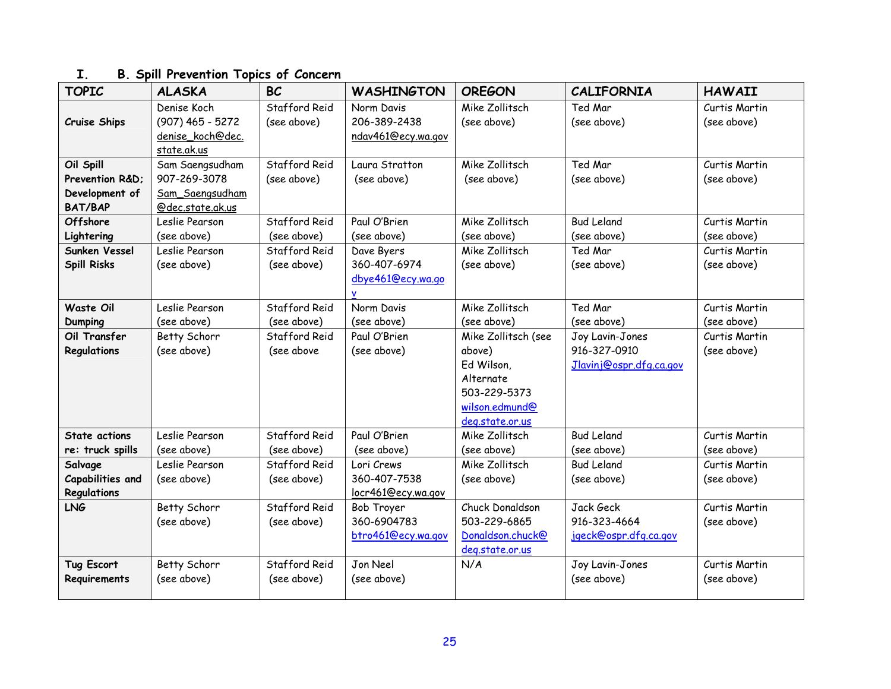| <b>TOPIC</b>                     | <b>ALASKA</b>                      | <b>BC</b>     | <b>WASHINGTON</b>          | <b>OREGON</b>       | <b>CALIFORNIA</b>       | <b>HAWAII</b>                |
|----------------------------------|------------------------------------|---------------|----------------------------|---------------------|-------------------------|------------------------------|
|                                  | Denise Koch                        | Stafford Reid | Norm Davis                 | Mike Zollitsch      | Ted Mar                 | Curtis Martin                |
| Cruise Ships                     | $(907)$ 465 - 5272                 | (see above)   | 206-389-2438               | (see above)         | (see above)             | (see above)                  |
|                                  | denise_koch@dec.                   |               | ndav461@ecy.wa.gov         |                     |                         |                              |
|                                  | state.ak.us                        |               |                            |                     |                         |                              |
| Oil Spill                        | Sam Saengsudham                    | Stafford Reid | Laura Stratton             | Mike Zollitsch      | Ted Mar                 | Curtis Martin                |
| Prevention R&D:                  | 907-269-3078                       | (see above)   | (see above)                | (see above)         | (see above)             | (see above)                  |
| Development of<br><b>BAT/BAP</b> | Sam_Saengsudham                    |               |                            |                     |                         |                              |
| <b>Offshore</b>                  | @dec.state.ak.us<br>Leslie Pearson | Stafford Reid | Paul O'Brien               | Mike Zollitsch      | <b>Bud Leland</b>       | Curtis Martin                |
|                                  | (see above)                        | (see above)   | (see above)                | (see above)         | (see above)             |                              |
| Lightering<br>Sunken Vessel      | Leslie Pearson                     | Stafford Reid |                            | Mike Zollitsch      | Ted Mar                 | (see above)<br>Curtis Martin |
| <b>Spill Risks</b>               | (see above)                        | (see above)   | Dave Byers<br>360-407-6974 | (see above)         | (see above)             | (see above)                  |
|                                  |                                    |               | dbye461@ecy.wa.go          |                     |                         |                              |
|                                  |                                    |               |                            |                     |                         |                              |
| Waste Oil                        | Leslie Pearson                     | Stafford Reid | Norm Davis                 | Mike Zollitsch      | Ted Mar                 | Curtis Martin                |
| <b>Dumping</b>                   | (see above)                        | (see above)   | (see above)                | (see above)         | (see above)             | (see above)                  |
| Oil Transfer                     | Betty Schorr                       | Stafford Reid | Paul O'Brien               | Mike Zollitsch (see | Joy Lavin-Jones         | Curtis Martin                |
| Regulations                      | (see above)                        | (see above    | (see above)                | above)              | 916-327-0910            | (see above)                  |
|                                  |                                    |               |                            | Ed Wilson,          | Jlavinj@ospr.dfq.ca.gov |                              |
|                                  |                                    |               |                            | Alternate           |                         |                              |
|                                  |                                    |               |                            | 503-229-5373        |                         |                              |
|                                  |                                    |               |                            | wilson.edmund@      |                         |                              |
|                                  |                                    |               |                            | deg.state.or.us     |                         |                              |
| State actions                    | Leslie Pearson                     | Stafford Reid | Paul O'Brien               | Mike Zollitsch      | <b>Bud Leland</b>       | Curtis Martin                |
| re: truck spills                 | (see above)                        | (see above)   | (see above)                | (see above)         | (see above)             | (see above)                  |
| Salvage                          | Leslie Pearson                     | Stafford Reid | Lori Crews                 | Mike Zollitsch      | <b>Bud Leland</b>       | Curtis Martin                |
| Capabilities and                 | (see above)                        | (see above)   | 360-407-7538               | (see above)         | (see above)             | (see above)                  |
| Regulations                      |                                    |               | locr461@ecy.wa.gov         |                     |                         |                              |
| <b>LNG</b>                       | Betty Schorr                       | Stafford Reid | Bob Troyer                 | Chuck Donaldson     | Jack Geck               | Curtis Martin                |
|                                  | (see above)                        | (see above)   | 360-6904783                | 503-229-6865        | 916-323-4664            | (see above)                  |
|                                  |                                    |               | btro461@ecy.wa.gov         | Donaldson.chuck@    | jgeck@ospr.dfg.ca.gov   |                              |
|                                  |                                    |               |                            | deg.state.or.us     |                         |                              |
| <b>Tug Escort</b>                | Betty Schorr                       | Stafford Reid | Jon Neel                   | N/A                 | Joy Lavin-Jones         | Curtis Martin                |
| Requirements                     | (see above)                        | (see above)   | (see above)                |                     | (see above)             | (see above)                  |
|                                  |                                    |               |                            |                     |                         |                              |

# **I. B. Spill Prevention Topics of Concern**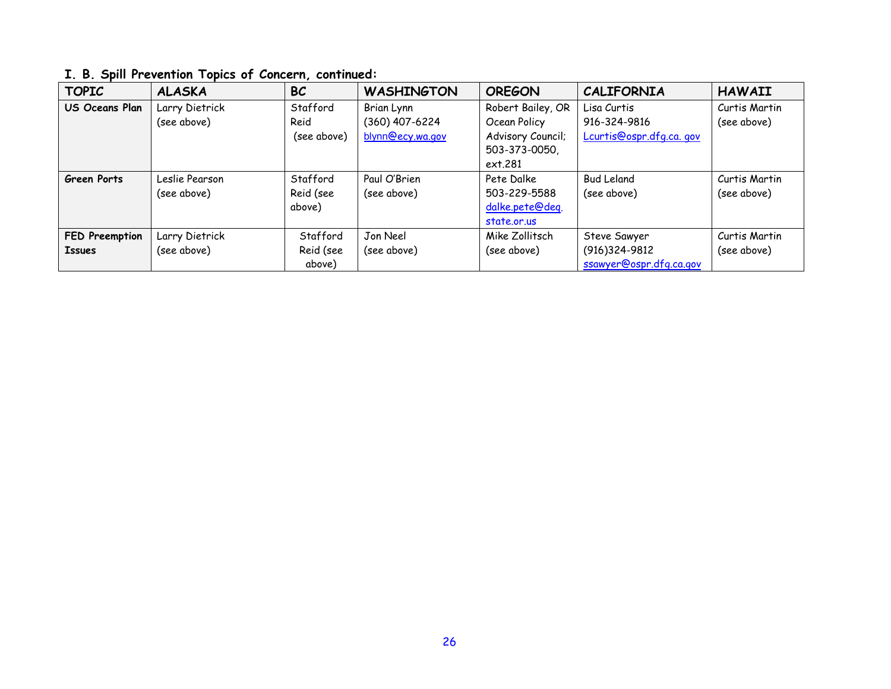| <b>TOPIC</b>       | <b>ALASKA</b>  | <b>BC</b>   | <b>WASHINGTON</b> | <b>OREGON</b>     | <b>CALIFORNIA</b>       | <b>HAWAII</b> |
|--------------------|----------------|-------------|-------------------|-------------------|-------------------------|---------------|
| US Oceans Plan     | Larry Dietrick | Stafford    | Brian Lynn        | Robert Bailey, OR | Lisa Curtis             | Curtis Martin |
|                    | (see above)    | Reid        | (360) 407-6224    | Ocean Policy      | 916-324-9816            | (see above)   |
|                    |                | (see above) | blynn@ecy.wa.gov  | Advisory Council; | Lcurtis@ospr.dfg.ca.gov |               |
|                    |                |             |                   | 503-373-0050,     |                         |               |
|                    |                |             |                   | ext.281           |                         |               |
| <b>Green Ports</b> | Leslie Pearson | Stafford    | Paul O'Brien      | Pete Dalke        | <b>Bud Leland</b>       | Curtis Martin |
|                    | (see above)    | Reid (see   | (see above)       | 503-229-5588      | (see above)             | (see above)   |
|                    |                | above)      |                   | dalke.pete@deq.   |                         |               |
|                    |                |             |                   | state.or.us       |                         |               |
| FED Preemption     | Larry Dietrick | Stafford    | Jon Neel          | Mike Zollitsch    | Steve Sawyer            | Curtis Martin |
| <b>Issues</b>      | (see above)    | Reid (see   | (see above)       | (see above)       | (916)324-9812           | (see above)   |
|                    |                | above)      |                   |                   | ssawyer@ospr.dfg.ca.gov |               |

# **I. B. Spill Prevention Topics of Concern, continued:**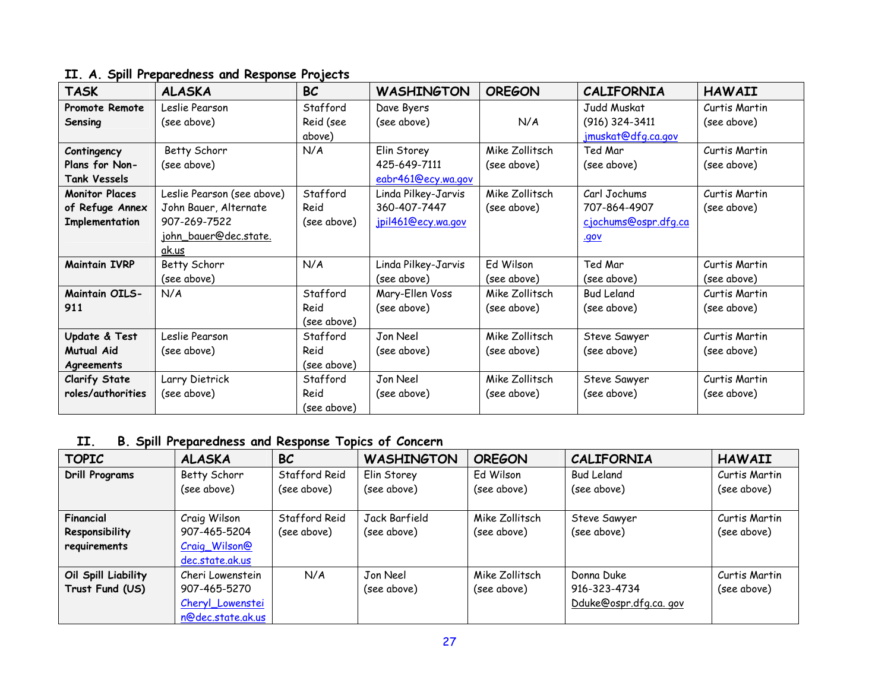# **II. A. Spill Preparedness and Response Projects**

| <b>TASK</b>                                                | <b>ALASKA</b>                                                                                         | <b>BC</b>                       | <b>WASHINGTON</b>                                         | <b>OREGON</b>                 | <b>CALIFORNIA</b>                                                   | <b>HAWAII</b>                |
|------------------------------------------------------------|-------------------------------------------------------------------------------------------------------|---------------------------------|-----------------------------------------------------------|-------------------------------|---------------------------------------------------------------------|------------------------------|
| Promote Remote<br>Sensing                                  | Leslie Pearson<br>(see above)                                                                         | Stafford<br>Reid (see<br>above) | Dave Byers<br>(see above)                                 | N/A                           | Judd Muskat<br>(916) 324-3411<br>jmuskat@dfg.ca.gov                 | Curtis Martin<br>(see above) |
| Contingency<br>Plans for Non-<br><b>Tank Vessels</b>       | Betty Schorr<br>(see above)                                                                           | N/A                             | Elin Storey<br>425-649-7111<br>eabr461@ecy.wa.gov         | Mike Zollitsch<br>(see above) | Ted Mar<br>(see above)                                              | Curtis Martin<br>(see above) |
| <b>Monitor Places</b><br>of Refuge Annex<br>Implementation | Leslie Pearson (see above)<br>John Bauer, Alternate<br>907-269-7522<br>john_bauer@dec.state.<br>ak.us | Stafford<br>Reid<br>(see above) | Linda Pilkey-Jarvis<br>360-407-7447<br>jpil461@ecy.wa.gov | Mike Zollitsch<br>(see above) | Carl Jochums<br>707-864-4907<br>cjochums@ospr.dfq.ca<br><u>.gov</u> | Curtis Martin<br>(see above) |
| <b>Maintain IVRP</b>                                       | Betty Schorr<br>(see above)                                                                           | N/A                             | Linda Pilkey-Jarvis<br>(see above)                        | Ed Wilson<br>(see above)      | Ted Mar<br>(see above)                                              | Curtis Martin<br>(see above) |
| <b>Maintain OILS-</b><br>911                               | N/A                                                                                                   | Stafford<br>Reid<br>(see above) | Mary-Ellen Voss<br>(see above)                            | Mike Zollitsch<br>(see above) | <b>Bud Leland</b><br>(see above)                                    | Curtis Martin<br>(see above) |
| Update & Test<br><b>Mutual Aid</b><br>Agreements           | Leslie Pearson<br>(see above)                                                                         | Stafford<br>Reid<br>(see above) | Jon Neel<br>(see above)                                   | Mike Zollitsch<br>(see above) | Steve Sawyer<br>(see above)                                         | Curtis Martin<br>(see above) |
| <b>Clarify State</b><br>roles/authorities                  | Larry Dietrick<br>(see above)                                                                         | Stafford<br>Reid<br>(see above) | Jon Neel<br>(see above)                                   | Mike Zollitsch<br>(see above) | Steve Sawyer<br>(see above)                                         | Curtis Martin<br>(see above) |

# **II. B. Spill Preparedness and Response Topics of Concern**

| <b>TOPIC</b>          | <b>ALASKA</b>     | <b>BC</b>     | <b>WASHINGTON</b> | <b>OREGON</b>  | <b>CALIFORNIA</b>     | <b>HAWAII</b> |
|-----------------------|-------------------|---------------|-------------------|----------------|-----------------------|---------------|
| <b>Drill Programs</b> | Betty Schorr      | Stafford Reid | Elin Storey       | Ed Wilson      | <b>Bud Leland</b>     | Curtis Martin |
|                       | (see above)       | (see above)   | (see above)       | (see above)    | (see above)           | (see above)   |
| Financial             | Craig Wilson      | Stafford Reid | Jack Barfield     | Mike Zollitsch | Steve Sawyer          | Curtis Martin |
| Responsibility        | 907-465-5204      | (see above)   | (see above)       | (see above)    | (see above)           | (see above)   |
| requirements          | Craig_Wilson@     |               |                   |                |                       |               |
|                       | dec.state.ak.us   |               |                   |                |                       |               |
| Oil Spill Liability   | Cheri Lowenstein  | N/A           | Jon Neel          | Mike Zollitsch | Donna Duke            | Curtis Martin |
| Trust Fund (US)       | 907-465-5270      |               | (see above)       | (see above)    | 916-323-4734          | (see above)   |
|                       | Cheryl_Lowenstei  |               |                   |                | Dduke@ospr.dfg.ca.gov |               |
|                       | n@dec.state.ak.us |               |                   |                |                       |               |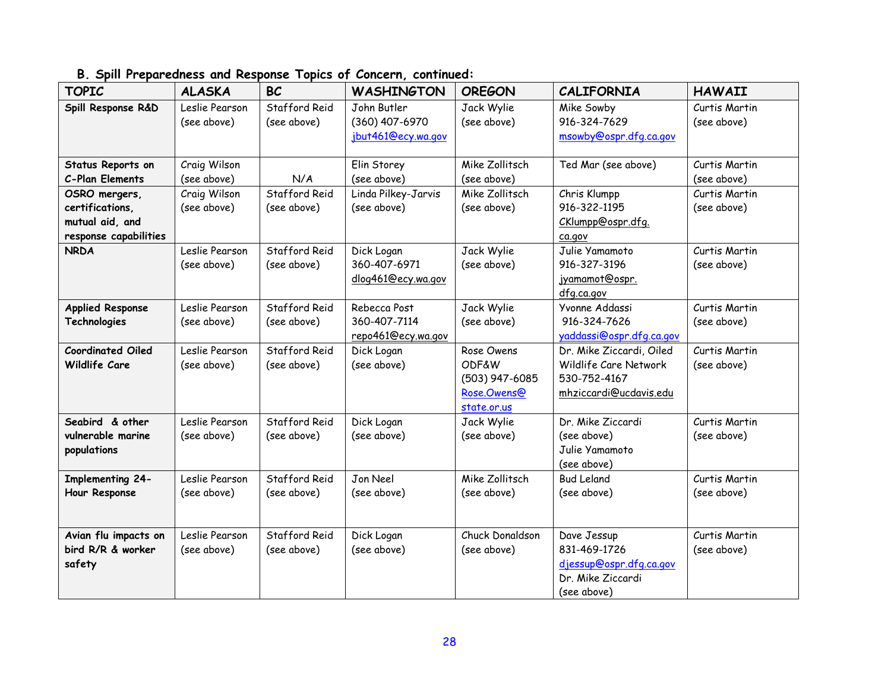| <b>TOPIC</b>                              | <b>ALASKA</b>  | <b>BC</b>     | <b>WASHINGTON</b>   | <b>OREGON</b>    | <b>CALIFORNIA</b>           | <b>HAWAII</b> |
|-------------------------------------------|----------------|---------------|---------------------|------------------|-----------------------------|---------------|
| Spill Response R&D                        | Leslie Pearson | Stafford Reid | John Butler         | Jack Wylie       | Mike Sowby                  | Curtis Martin |
|                                           | (see above)    | (see above)   | (360) 407-6970      | (see above)      | 916-324-7629                | (see above)   |
|                                           |                |               | jbut461@ecy.wa.gov  |                  | msowby@ospr.dfg.ca.gov      |               |
|                                           |                |               |                     |                  |                             |               |
| Status Reports on                         | Craig Wilson   |               | Elin Storey         | Mike Zollitsch   | Ted Mar (see above)         | Curtis Martin |
| C-Plan Elements                           | (see above)    | N/A           | (see above)         | (see above)      |                             | (see above)   |
| OSRO mergers,                             | Craig Wilson   | Stafford Reid | Linda Pilkey-Jarvis | Mike Zollitsch   | Chris Klumpp                | Curtis Martin |
| certifications,                           | (see above)    | (see above)   | (see above)         | (see above)      | 916-322-1195                | (see above)   |
| mutual aid, and                           |                |               |                     |                  | CKlumpp@ospr.dfg.           |               |
| response capabilities                     |                |               |                     |                  | ca.gov                      |               |
| <b>NRDA</b>                               | Leslie Pearson | Stafford Reid | Dick Logan          | Jack Wylie       | Julie Yamamoto              | Curtis Martin |
|                                           | (see above)    | (see above)   | 360-407-6971        | (see above)      | 916-327-3196                | (see above)   |
|                                           |                |               | dlog461@ecy.wa.gov  |                  | jyamamot@ospr.              |               |
|                                           |                |               |                     |                  | dfg.ca.gov                  |               |
| <b>Applied Response</b>                   | Leslie Pearson | Stafford Reid | Rebecca Post        | Jack Wylie       | Yvonne Addassi              | Curtis Martin |
| Technologies                              | (see above)    | (see above)   | 360-407-7114        | (see above)      | 916-324-7626                | (see above)   |
|                                           |                |               | repo461@ecy.wa.gov  |                  | yaddassi@ospr.dfg.ca.gov    |               |
| <b>Coordinated Oiled</b>                  | Leslie Pearson | Stafford Reid | Dick Logan          | Rose Owens       | Dr. Mike Ziccardi, Oiled    | Curtis Martin |
| Wildlife Care                             | (see above)    | (see above)   | (see above)         | <b>ODF&amp;W</b> | Wildlife Care Network       | (see above)   |
|                                           |                |               |                     | (503) 947-6085   | 530-752-4167                |               |
|                                           |                |               |                     | Rose.Owens@      | mhziccardi@ucdavis.edu      |               |
|                                           |                |               |                     | state.or.us      |                             |               |
| Seabird & other                           | Leslie Pearson | Stafford Reid | Dick Logan          | Jack Wylie       | Dr. Mike Ziccardi           | Curtis Martin |
| vulnerable marine                         | (see above)    | (see above)   | (see above)         | (see above)      | (see above)                 | (see above)   |
| populations                               |                |               |                     |                  | Julie Yamamoto              |               |
|                                           |                |               |                     |                  | (see above)                 |               |
| <b>Implementing 24-</b>                   | Leslie Pearson | Stafford Reid | Jon Neel            | Mike Zollitsch   | <b>Bud Leland</b>           | Curtis Martin |
| Hour Response                             | (see above)    | (see above)   | (see above)         | (see above)      | (see above)                 | (see above)   |
|                                           |                |               |                     |                  |                             |               |
|                                           | Leslie Pearson | Stafford Reid |                     | Chuck Donaldson  |                             |               |
| Avian flu impacts on<br>bird R/R & worker |                |               | Dick Logan          |                  | Dave Jessup<br>831-469-1726 | Curtis Martin |
|                                           | (see above)    | (see above)   | (see above)         | (see above)      | djessup@ospr.dfg.ca.gov     | (see above)   |
| safety                                    |                |               |                     |                  |                             |               |
|                                           |                |               |                     |                  | Dr. Mike Ziccardi           |               |
|                                           |                |               |                     |                  | (see above)                 |               |

# **B. Spill Preparedness and Response Topics of Concern, continued:**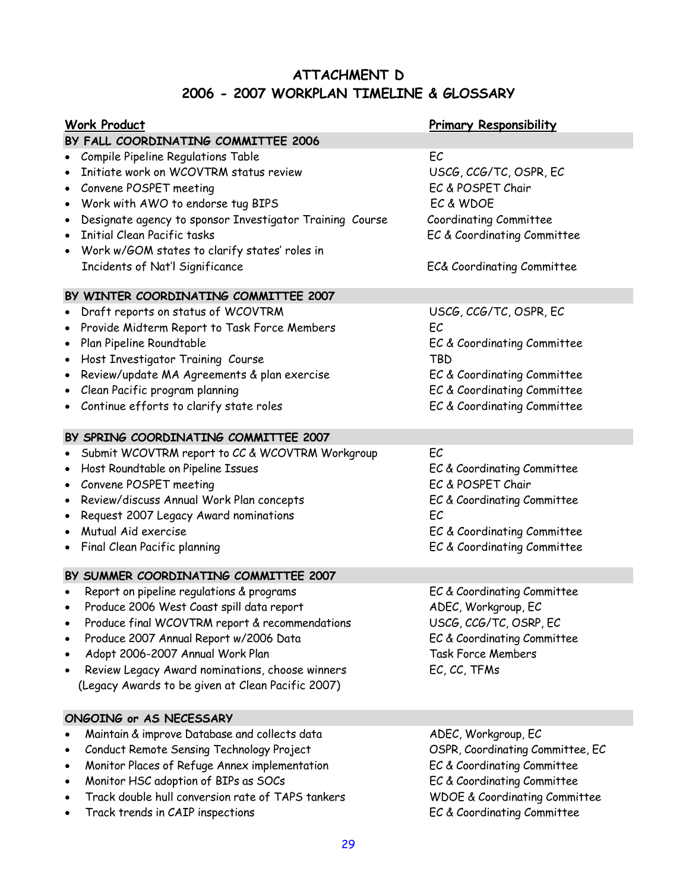# **ATTACHMENT D 2006 - 2007 WORKPLAN TIMELINE & GLOSSARY**

| <b>Work Product</b>                                                   | <b>Primary Responsibility</b>            |
|-----------------------------------------------------------------------|------------------------------------------|
| BY FALL COORDINATING COMMITTEE 2006                                   |                                          |
| Compile Pipeline Regulations Table<br>$\bullet$                       | EC                                       |
| Initiate work on WCOVTRM status review                                | USCG, CCG/TC, OSPR, EC                   |
| Convene POSPET meeting<br>$\bullet$                                   | EC & POSPET Chair                        |
| Work with AWO to endorse tug BIPS<br>٠                                | EC & WDOE                                |
| Designate agency to sponsor Investigator Training Course<br>$\bullet$ | Coordinating Committee                   |
| <b>Initial Clean Pacific tasks</b><br>$\bullet$                       | EC & Coordinating Committee              |
| Work w/GOM states to clarify states' roles in<br>$\bullet$            |                                          |
| Incidents of Nat'l Significance                                       | EC& Coordinating Committee               |
| BY WINTER COORDINATING COMMITTEE 2007                                 |                                          |
| Draft reports on status of WCOVTRM<br>$\bullet$                       | USCG, CCG/TC, OSPR, EC                   |
| Provide Midterm Report to Task Force Members<br>$\bullet$             | EC                                       |
| Plan Pipeline Roundtable<br>$\bullet$                                 | EC & Coordinating Committee              |
| Host Investigator Training Course<br>$\bullet$                        | <b>TBD</b>                               |
| Review/update MA Agreements & plan exercise<br>$\bullet$              | EC & Coordinating Committee              |
| Clean Pacific program planning                                        | EC & Coordinating Committee              |
| Continue efforts to clarify state roles<br>٠                          | EC & Coordinating Committee              |
|                                                                       |                                          |
| BY SPRING COORDINATING COMMITTEE 2007                                 |                                          |
| Submit WCOVTRM report to CC & WCOVTRM Workgroup<br>٠                  | EC                                       |
| Host Roundtable on Pipeline Issues<br>$\bullet$                       | EC & Coordinating Committee              |
| Convene POSPET meeting<br>٠                                           | EC & POSPET Chair                        |
| Review/discuss Annual Work Plan concepts<br>$\bullet$                 | EC & Coordinating Committee              |
| Request 2007 Legacy Award nominations<br>$\bullet$                    | EC                                       |
| Mutual Aid exercise<br>$\bullet$                                      | EC & Coordinating Committee              |
| Final Clean Pacific planning<br>٠                                     | EC & Coordinating Committee              |
| BY SUMMER COORDINATING COMMITTEE 2007                                 |                                          |
| Report on pipeline regulations & programs                             | EC & Coordinating Committee              |
| Produce 2006 West Coast spill data report<br>٠                        | ADEC, Workgroup, EC                      |
| Produce final WCOVTRM report & recommendations<br>$\bullet$           | USCG, CCG/TC, OSRP, EC                   |
| Produce 2007 Annual Report w/2006 Data<br>$\bullet$                   | EC & Coordinating Committee              |
| Adopt 2006-2007 Annual Work Plan<br>$\bullet$                         | <b>Task Force Members</b>                |
| Review Legacy Award nominations, choose winners<br>$\bullet$          | EC, CC, TFMs                             |
| (Legacy Awards to be given at Clean Pacific 2007)                     |                                          |
| ONGOING or AS NECESSARY                                               |                                          |
| Maintain & improve Database and collects data<br>$\bullet$            | ADEC, Workgroup, EC                      |
| Conduct Remote Sensing Technology Project<br>$\bullet$                | OSPR, Coordinating Committee, EC         |
| Monitor Places of Refuge Annex implementation<br>$\bullet$            | EC & Coordinating Committee              |
| Monitor HSC adoption of BIPs as SOCs<br>$\bullet$                     | EC & Coordinating Committee              |
| Track double hull conversion rate of TAPS tankers<br>$\bullet$        | <b>WDOE &amp; Coordinating Committee</b> |
| Track trends in CAIP inspections<br>$\bullet$                         | EC & Coordinating Committee              |